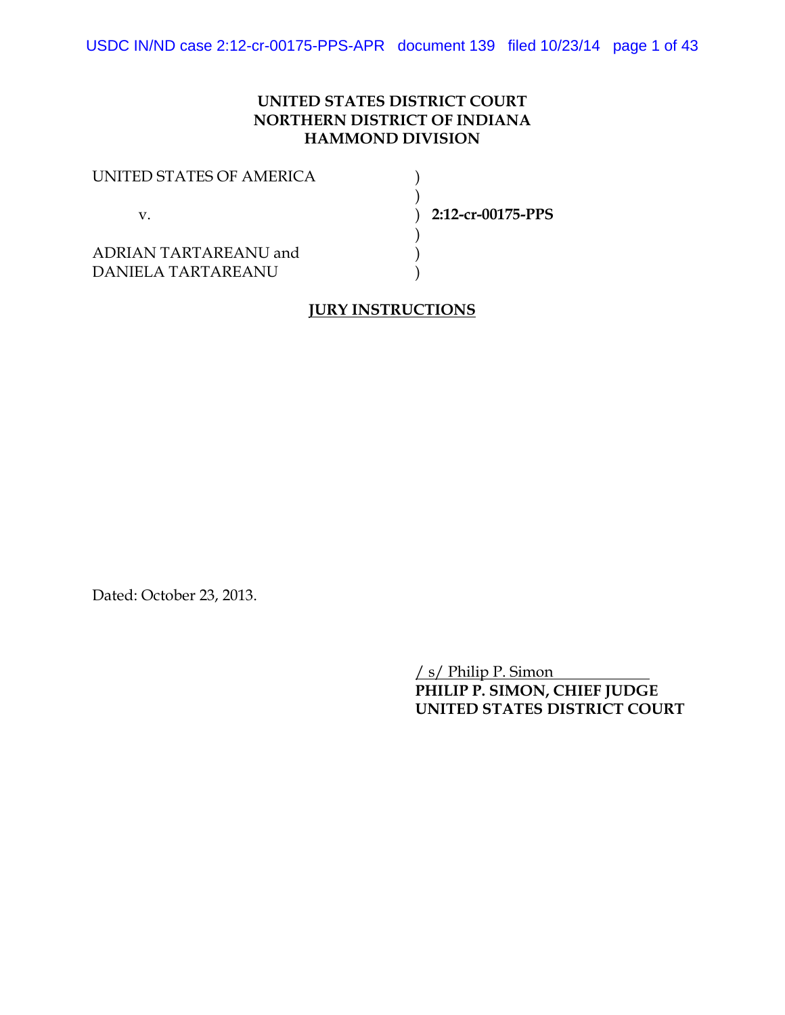## **UNITED STATES DISTRICT COURT NORTHERN DISTRICT OF INDIANA HAMMOND DIVISION**

| UNITED STATES OF AMERICA<br>v               |                   |
|---------------------------------------------|-------------------|
|                                             | 2:12-cr-00175-PPS |
| ADRIAN TARTAREANU and<br>DANIELA TARTAREANU |                   |

## **JURY INSTRUCTIONS**

Dated: October 23, 2013.

/ s/ Philip P. Simon **PHILIP P. SIMON, CHIEF JUDGE UNITED STATES DISTRICT COURT**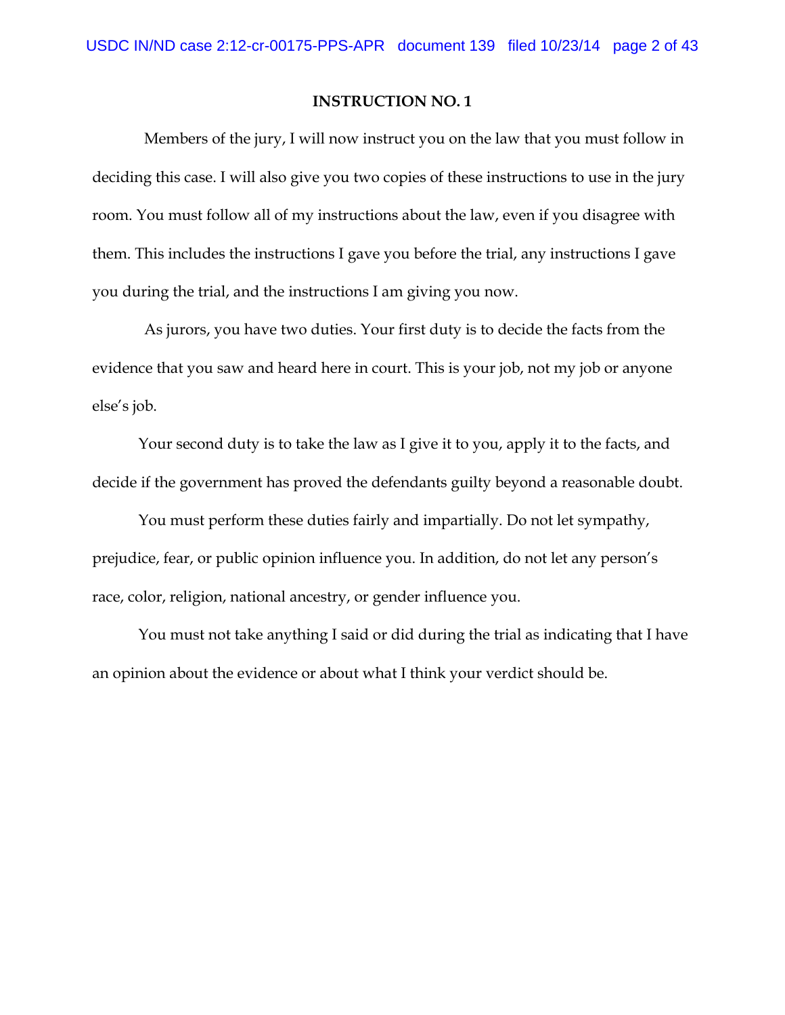Members of the jury, I will now instruct you on the law that you must follow in deciding this case. I will also give you two copies of these instructions to use in the jury room. You must follow all of my instructions about the law, even if you disagree with them. This includes the instructions I gave you before the trial, any instructions I gave you during the trial, and the instructions I am giving you now.

As jurors, you have two duties. Your first duty is to decide the facts from the evidence that you saw and heard here in court. This is your job, not my job or anyone else's job.

Your second duty is to take the law as I give it to you, apply it to the facts, and decide if the government has proved the defendants guilty beyond a reasonable doubt.

You must perform these duties fairly and impartially. Do not let sympathy, prejudice, fear, or public opinion influence you. In addition, do not let any person's race, color, religion, national ancestry, or gender influence you.

You must not take anything I said or did during the trial as indicating that I have an opinion about the evidence or about what I think your verdict should be.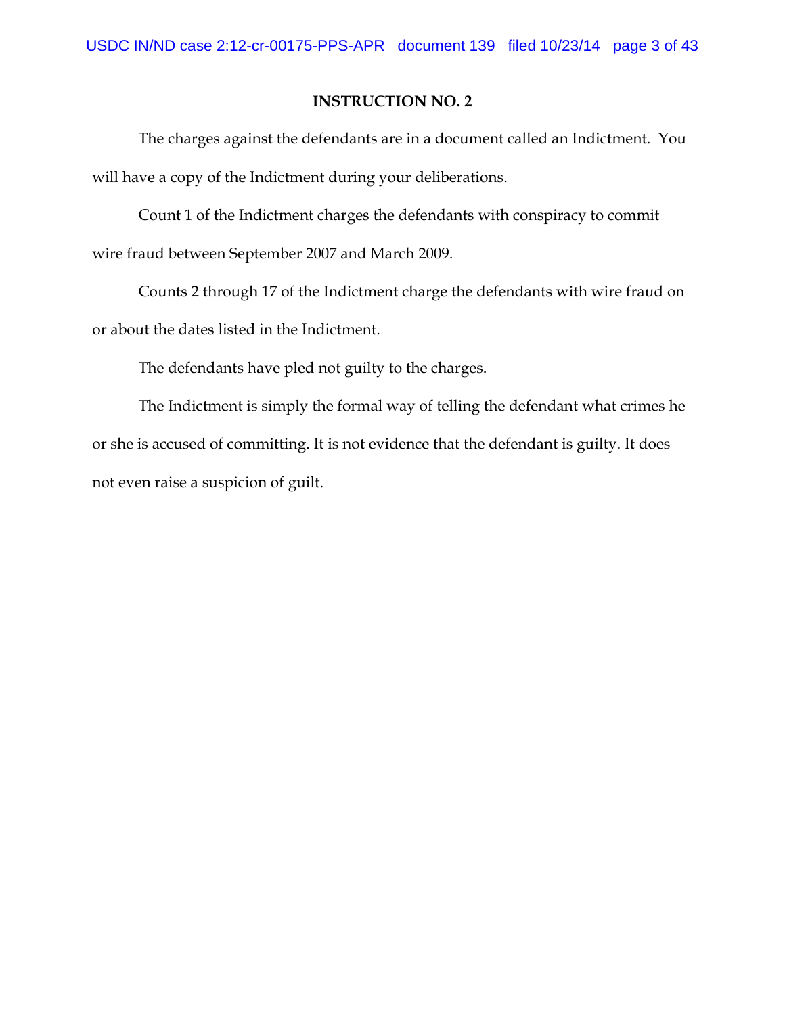The charges against the defendants are in a document called an Indictment. You will have a copy of the Indictment during your deliberations.

Count 1 of the Indictment charges the defendants with conspiracy to commit wire fraud between September 2007 and March 2009.

Counts 2 through 17 of the Indictment charge the defendants with wire fraud on or about the dates listed in the Indictment.

The defendants have pled not guilty to the charges.

The Indictment is simply the formal way of telling the defendant what crimes he or she is accused of committing. It is not evidence that the defendant is guilty. It does not even raise a suspicion of guilt.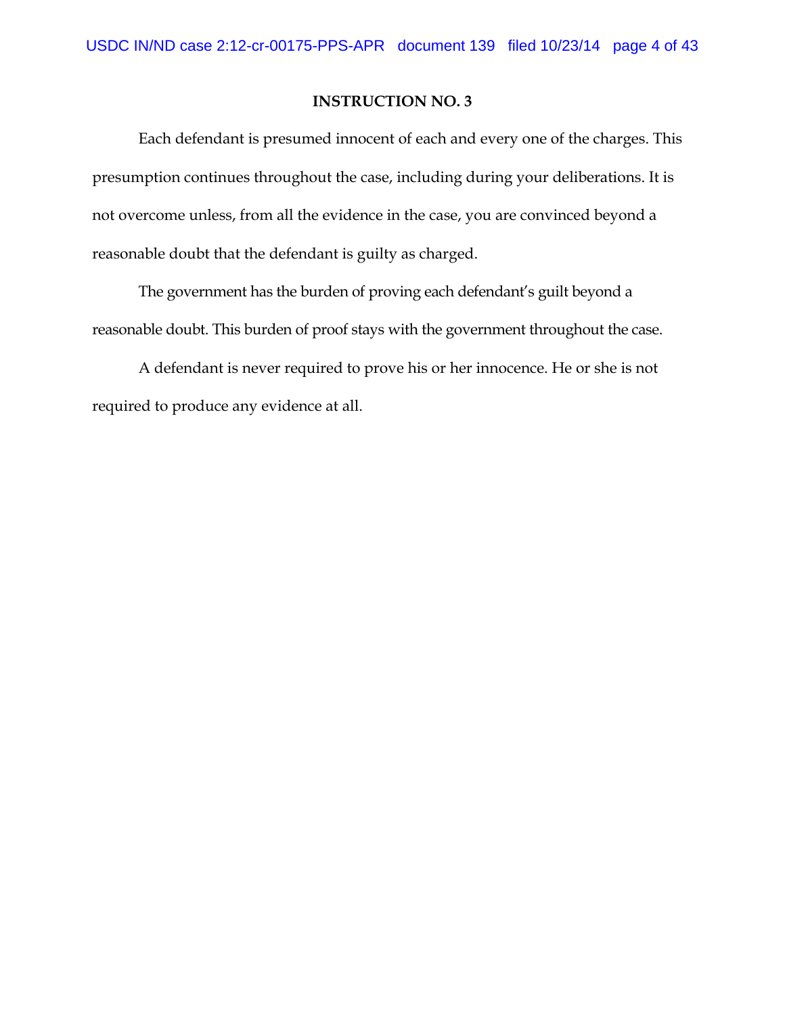Each defendant is presumed innocent of each and every one of the charges. This presumption continues throughout the case, including during your deliberations. It is not overcome unless, from all the evidence in the case, you are convinced beyond a reasonable doubt that the defendant is guilty as charged.

The government has the burden of proving each defendant's guilt beyond a reasonable doubt. This burden of proof stays with the government throughout the case.

A defendant is never required to prove his or her innocence. He or she is not required to produce any evidence at all.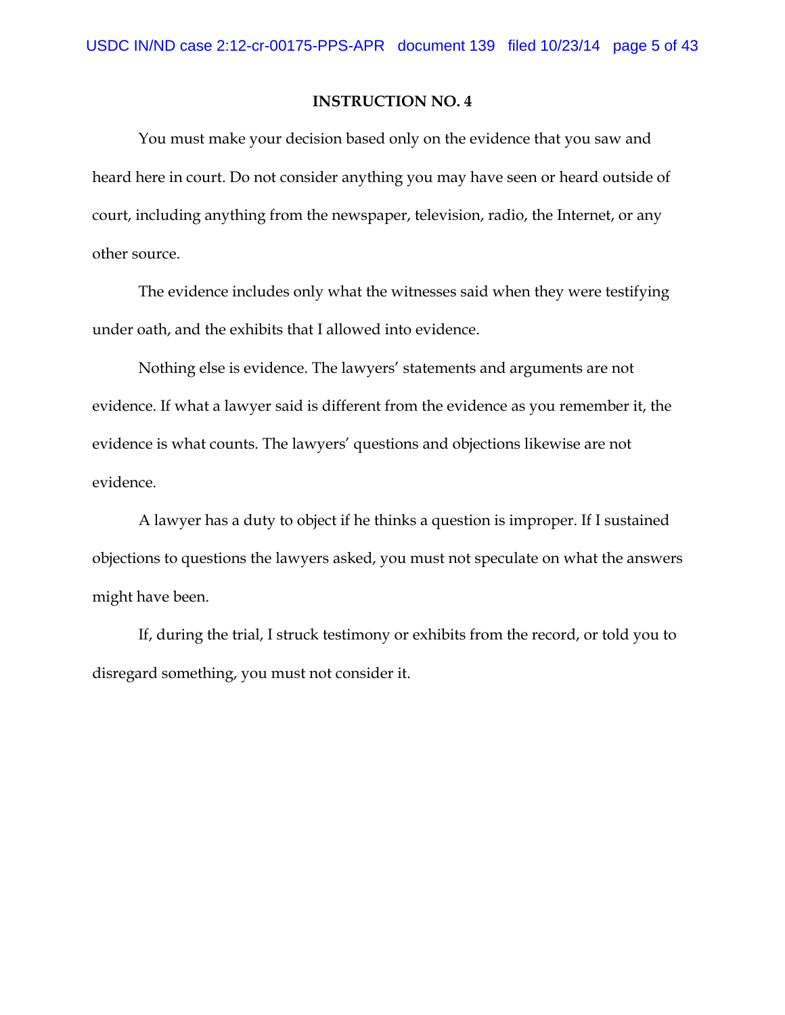You must make your decision based only on the evidence that you saw and heard here in court. Do not consider anything you may have seen or heard outside of court, including anything from the newspaper, television, radio, the Internet, or any other source.

The evidence includes only what the witnesses said when they were testifying under oath, and the exhibits that I allowed into evidence.

Nothing else is evidence. The lawyers' statements and arguments are not evidence. If what a lawyer said is different from the evidence as you remember it, the evidence is what counts. The lawyers' questions and objections likewise are not evidence.

A lawyer has a duty to object if he thinks a question is improper. If I sustained objections to questions the lawyers asked, you must not speculate on what the answers might have been.

If, during the trial, I struck testimony or exhibits from the record, or told you to disregard something, you must not consider it.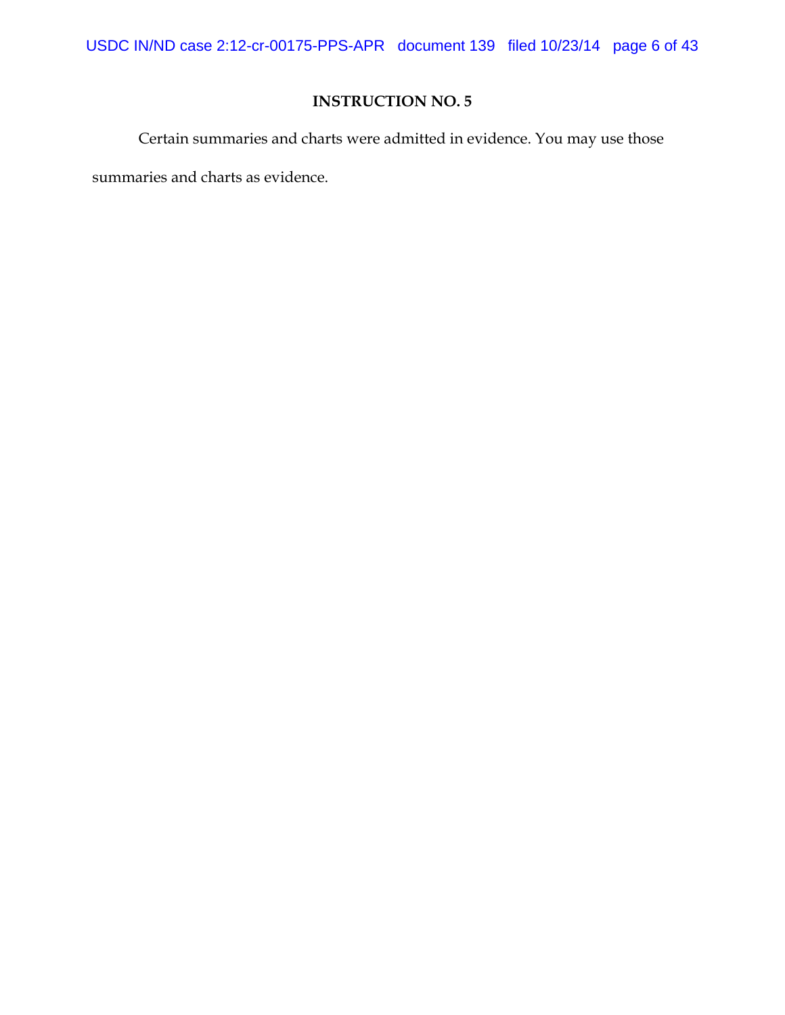USDC IN/ND case 2:12-cr-00175-PPS-APR document 139 filed 10/23/14 page 6 of 43

# **INSTRUCTION NO. 5**

Certain summaries and charts were admitted in evidence. You may use those

summaries and charts as evidence.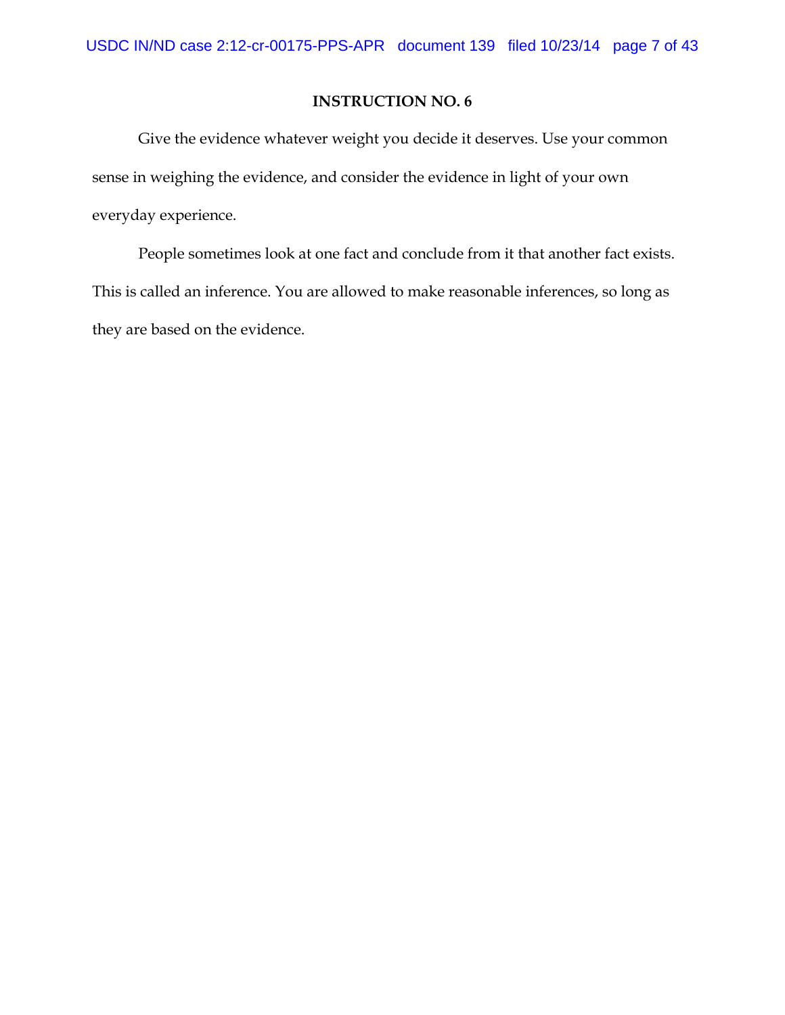Give the evidence whatever weight you decide it deserves. Use your common sense in weighing the evidence, and consider the evidence in light of your own everyday experience.

People sometimes look at one fact and conclude from it that another fact exists. This is called an inference. You are allowed to make reasonable inferences, so long as they are based on the evidence.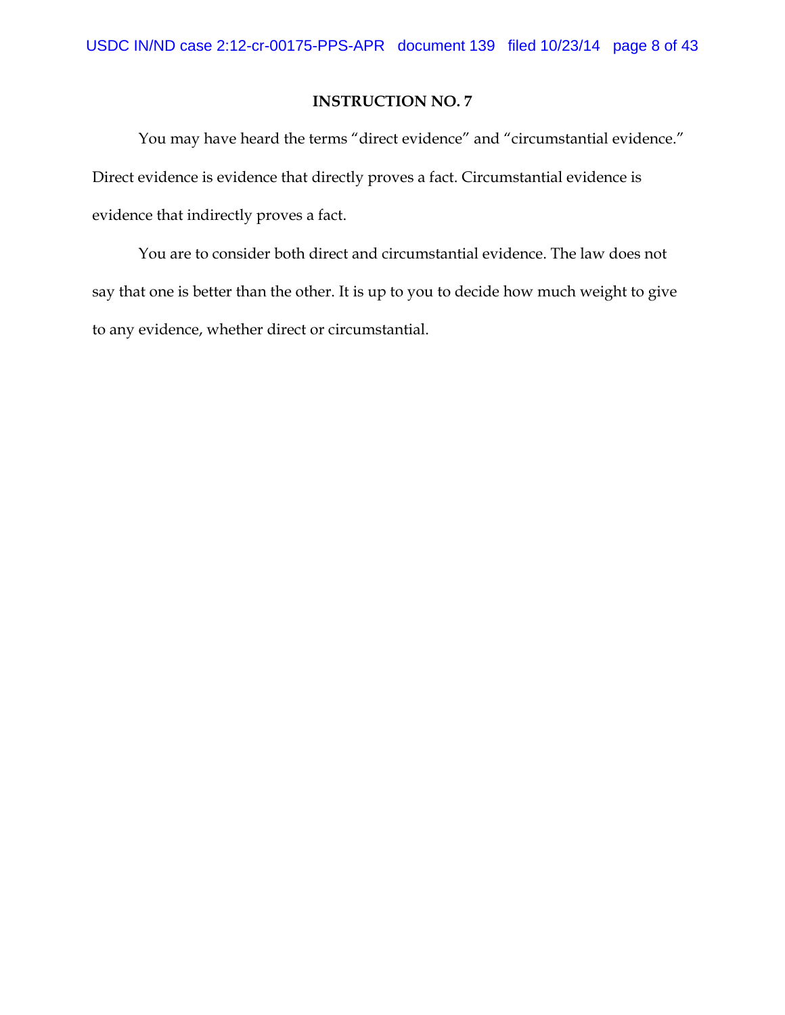You may have heard the terms "direct evidence" and "circumstantial evidence." Direct evidence is evidence that directly proves a fact. Circumstantial evidence is evidence that indirectly proves a fact.

You are to consider both direct and circumstantial evidence. The law does not say that one is better than the other. It is up to you to decide how much weight to give to any evidence, whether direct or circumstantial.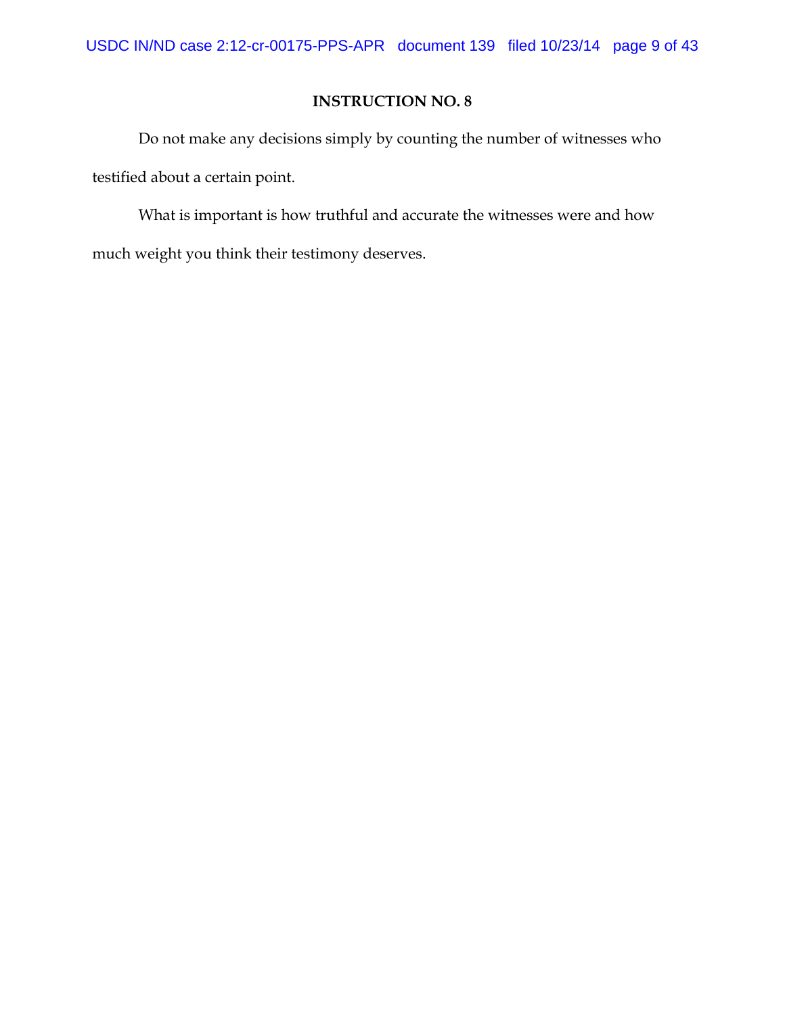Do not make any decisions simply by counting the number of witnesses who testified about a certain point.

What is important is how truthful and accurate the witnesses were and how much weight you think their testimony deserves.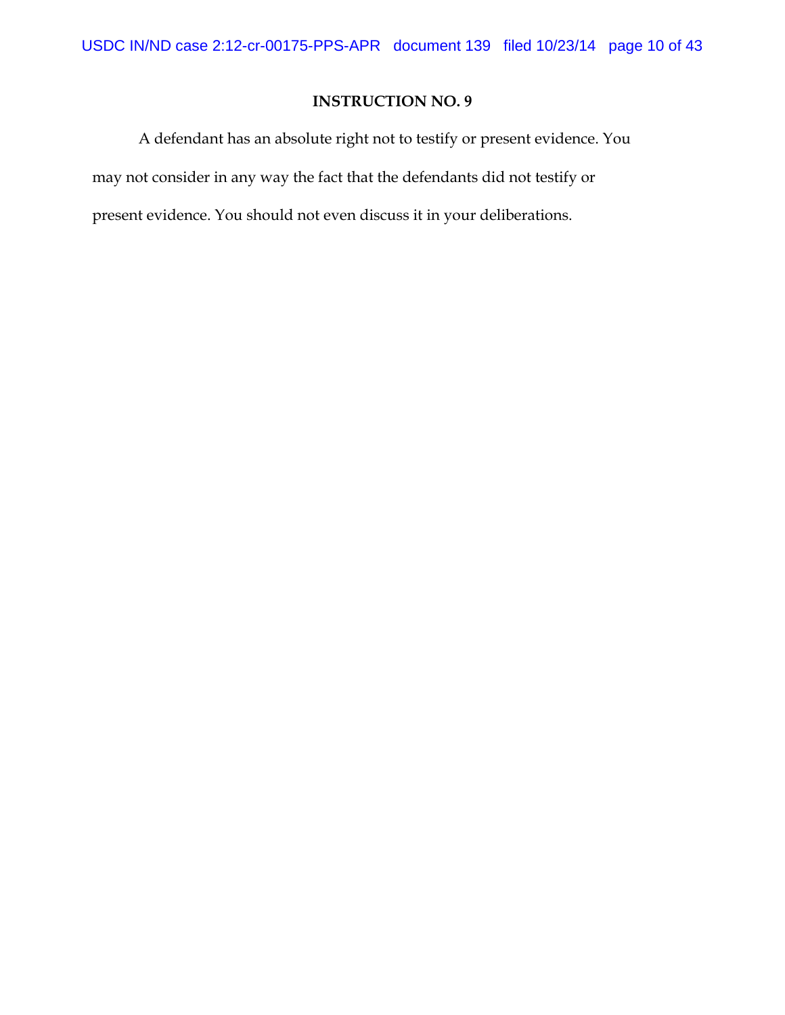A defendant has an absolute right not to testify or present evidence. You may not consider in any way the fact that the defendants did not testify or present evidence. You should not even discuss it in your deliberations.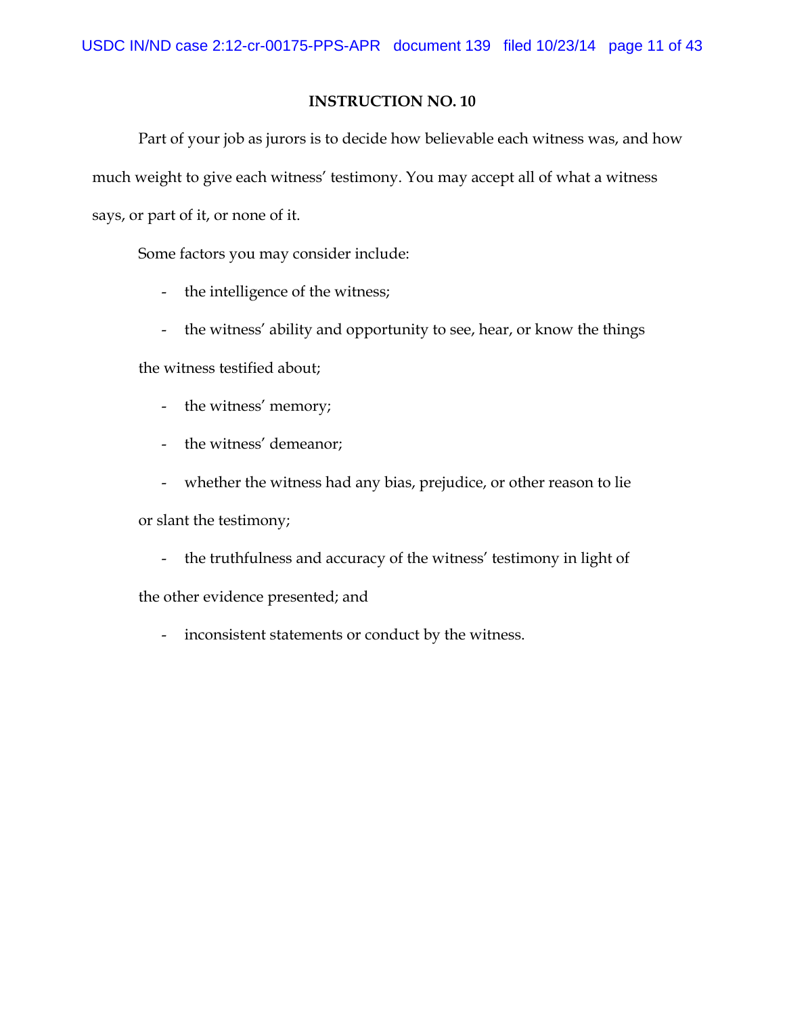Part of your job as jurors is to decide how believable each witness was, and how much weight to give each witness' testimony. You may accept all of what a witness says, or part of it, or none of it.

Some factors you may consider include:

- the intelligence of the witness;
- the witness' ability and opportunity to see, hear, or know the things

the witness testified about;

- the witness' memory;
- the witness' demeanor;
- whether the witness had any bias, prejudice, or other reason to lie

or slant the testimony;

- the truthfulness and accuracy of the witness' testimony in light of

the other evidence presented; and

- inconsistent statements or conduct by the witness.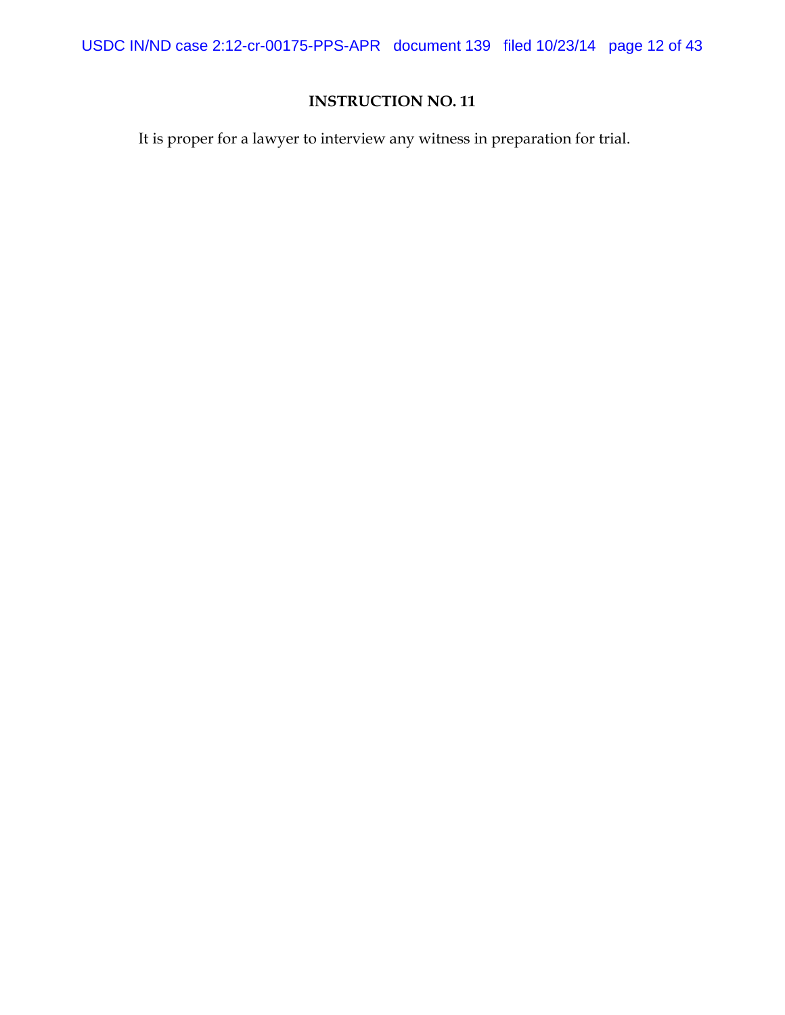USDC IN/ND case 2:12-cr-00175-PPS-APR document 139 filed 10/23/14 page 12 of 43

# **INSTRUCTION NO. 11**

It is proper for a lawyer to interview any witness in preparation for trial.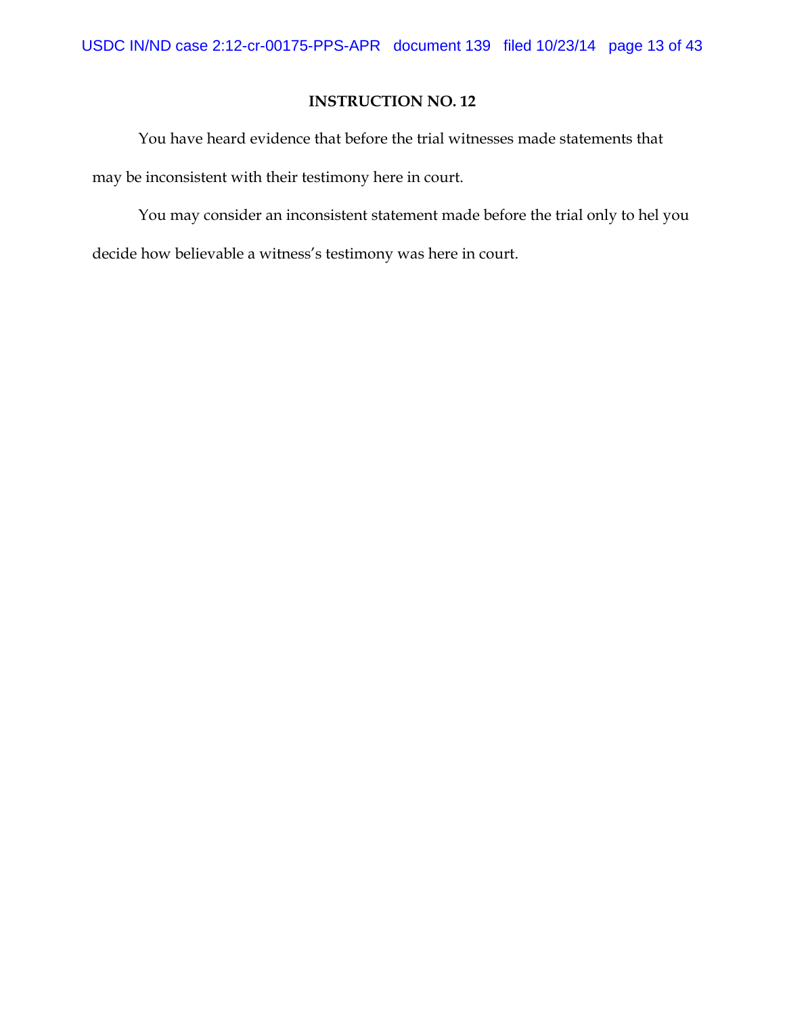You have heard evidence that before the trial witnesses made statements that may be inconsistent with their testimony here in court.

You may consider an inconsistent statement made before the trial only to hel you decide how believable a witness's testimony was here in court.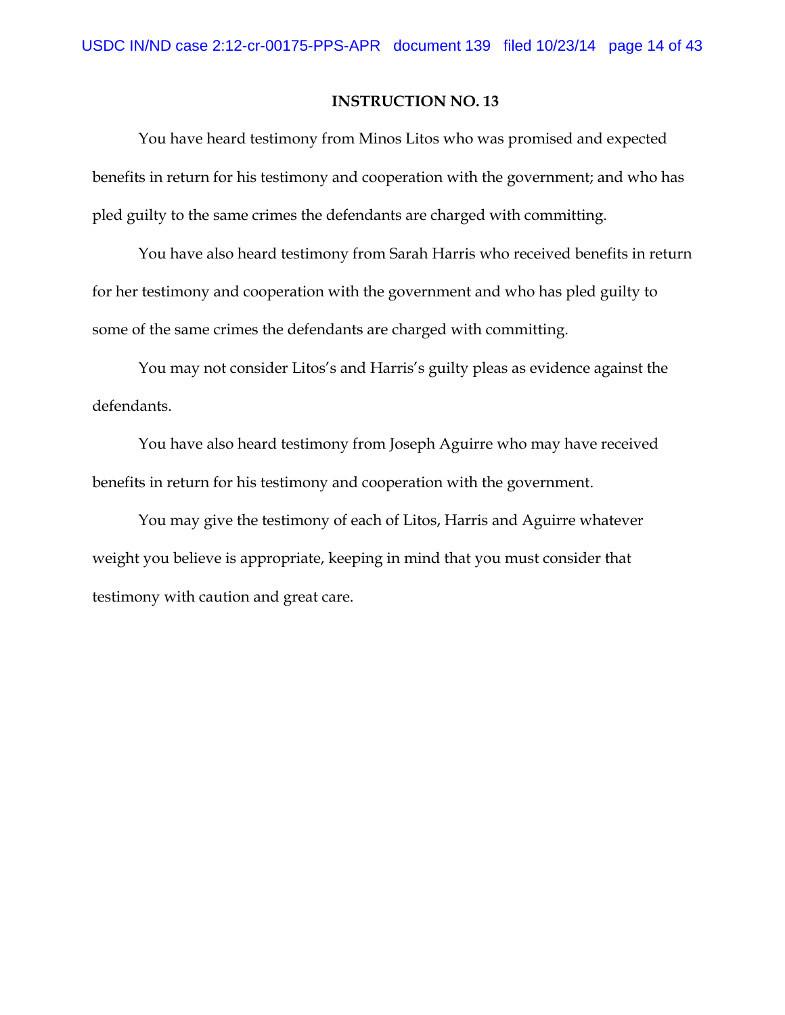You have heard testimony from Minos Litos who was promised and expected benefits in return for his testimony and cooperation with the government; and who has pled guilty to the same crimes the defendants are charged with committing.

You have also heard testimony from Sarah Harris who received benefits in return for her testimony and cooperation with the government and who has pled guilty to some of the same crimes the defendants are charged with committing.

You may not consider Litos's and Harris's guilty pleas as evidence against the defendants.

You have also heard testimony from Joseph Aguirre who may have received benefits in return for his testimony and cooperation with the government.

You may give the testimony of each of Litos, Harris and Aguirre whatever weight you believe is appropriate, keeping in mind that you must consider that testimony with caution and great care.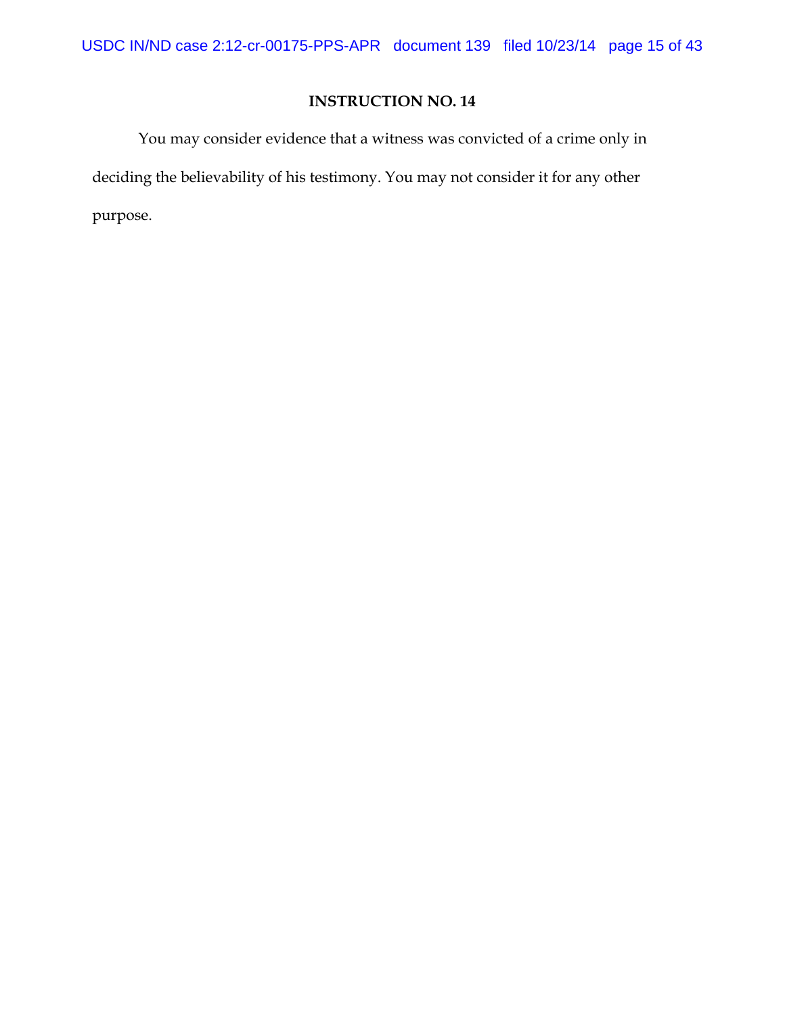You may consider evidence that a witness was convicted of a crime only in deciding the believability of his testimony. You may not consider it for any other purpose.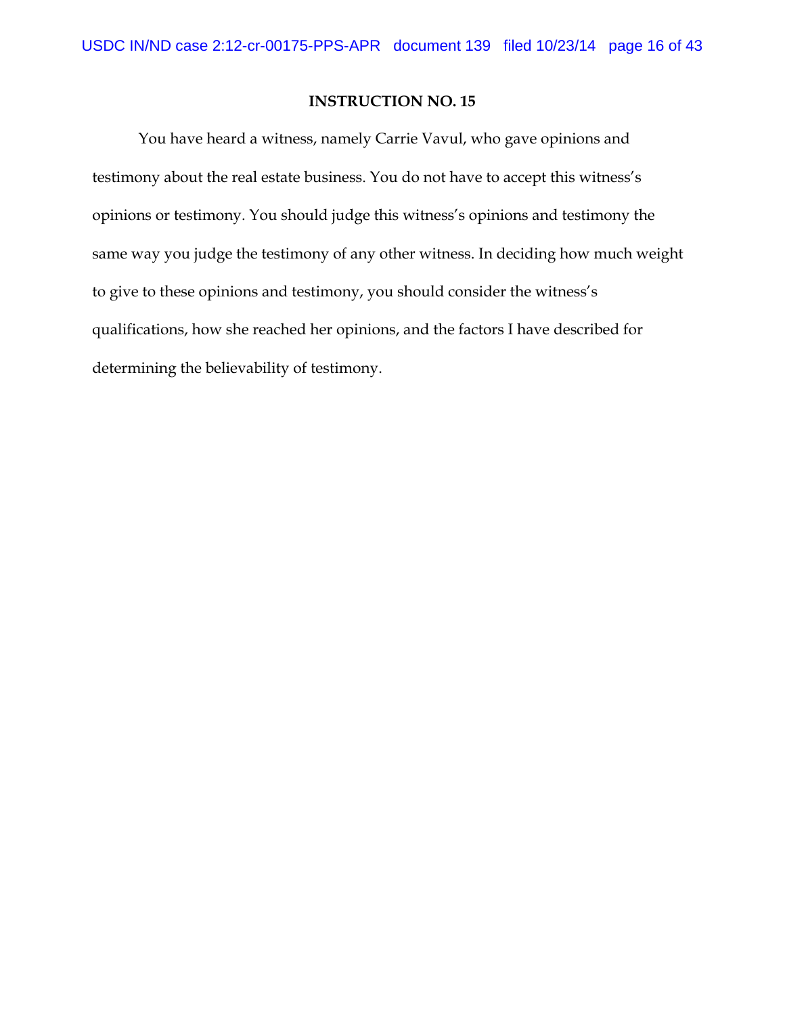You have heard a witness, namely Carrie Vavul, who gave opinions and testimony about the real estate business. You do not have to accept this witness's opinions or testimony. You should judge this witness's opinions and testimony the same way you judge the testimony of any other witness. In deciding how much weight to give to these opinions and testimony, you should consider the witness's qualifications, how she reached her opinions, and the factors I have described for determining the believability of testimony.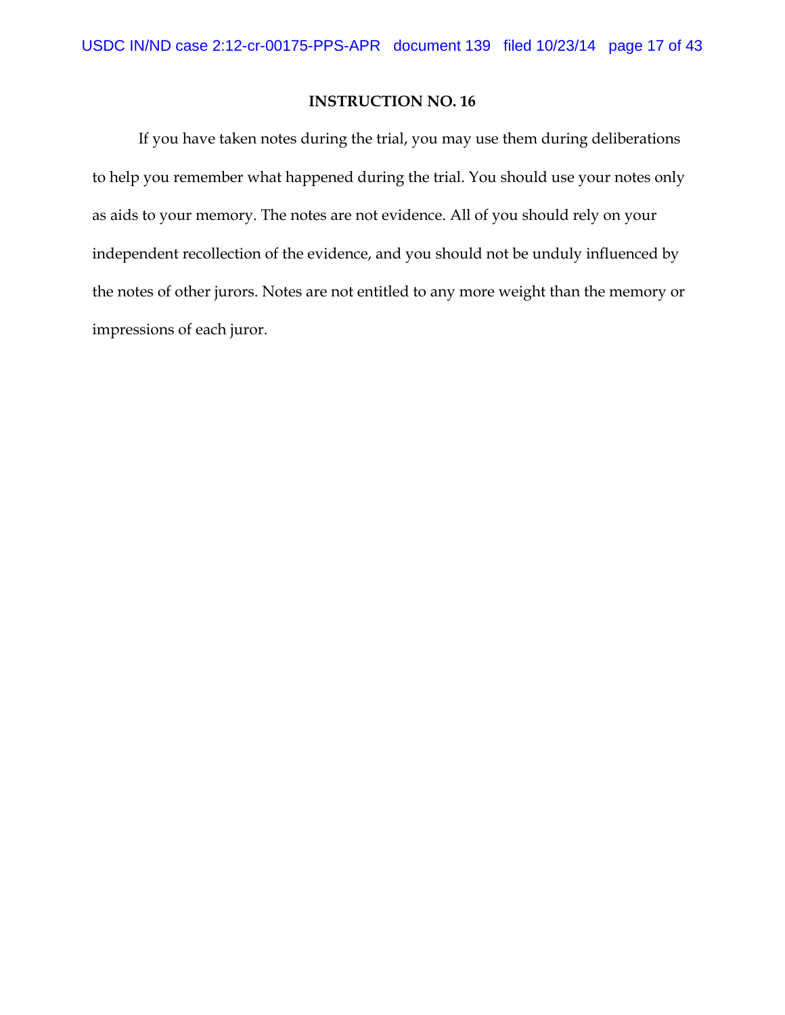If you have taken notes during the trial, you may use them during deliberations to help you remember what happened during the trial. You should use your notes only as aids to your memory. The notes are not evidence. All of you should rely on your independent recollection of the evidence, and you should not be unduly influenced by the notes of other jurors. Notes are not entitled to any more weight than the memory or impressions of each juror.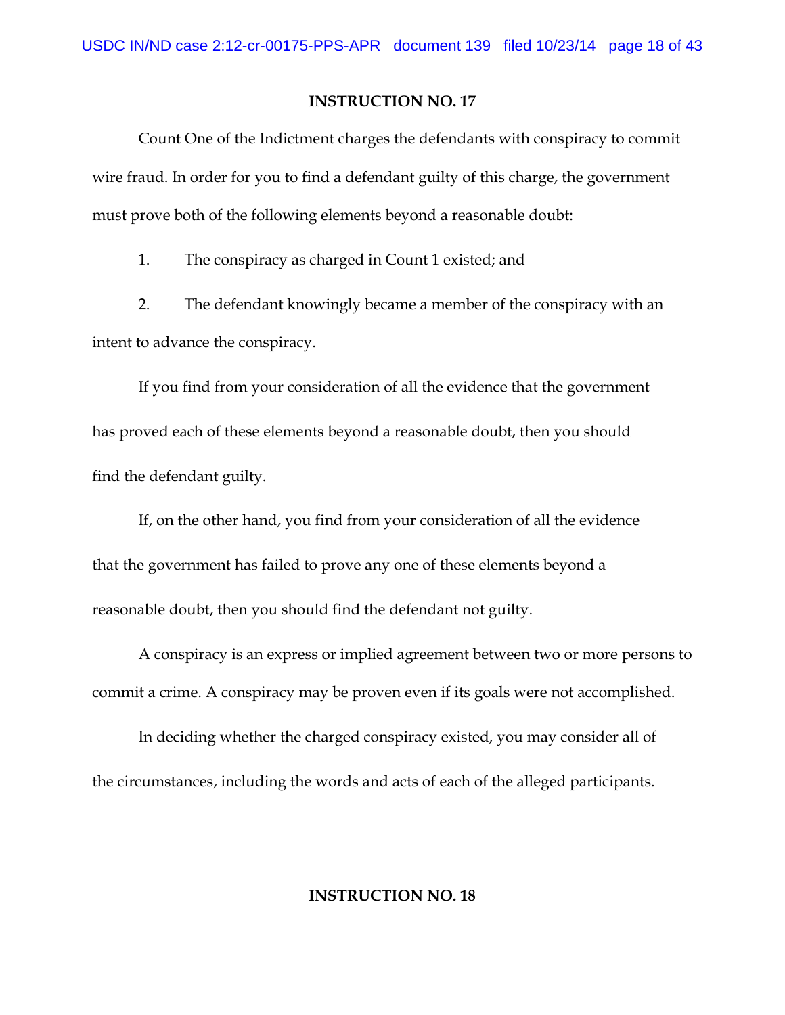Count One of the Indictment charges the defendants with conspiracy to commit wire fraud. In order for you to find a defendant guilty of this charge, the government must prove both of the following elements beyond a reasonable doubt:

1. The conspiracy as charged in Count 1 existed; and

2. The defendant knowingly became a member of the conspiracy with an intent to advance the conspiracy.

If you find from your consideration of all the evidence that the government has proved each of these elements beyond a reasonable doubt, then you should find the defendant guilty.

If, on the other hand, you find from your consideration of all the evidence that the government has failed to prove any one of these elements beyond a reasonable doubt, then you should find the defendant not guilty.

A conspiracy is an express or implied agreement between two or more persons to commit a crime. A conspiracy may be proven even if its goals were not accomplished.

In deciding whether the charged conspiracy existed, you may consider all of the circumstances, including the words and acts of each of the alleged participants.

#### **INSTRUCTION NO. 18**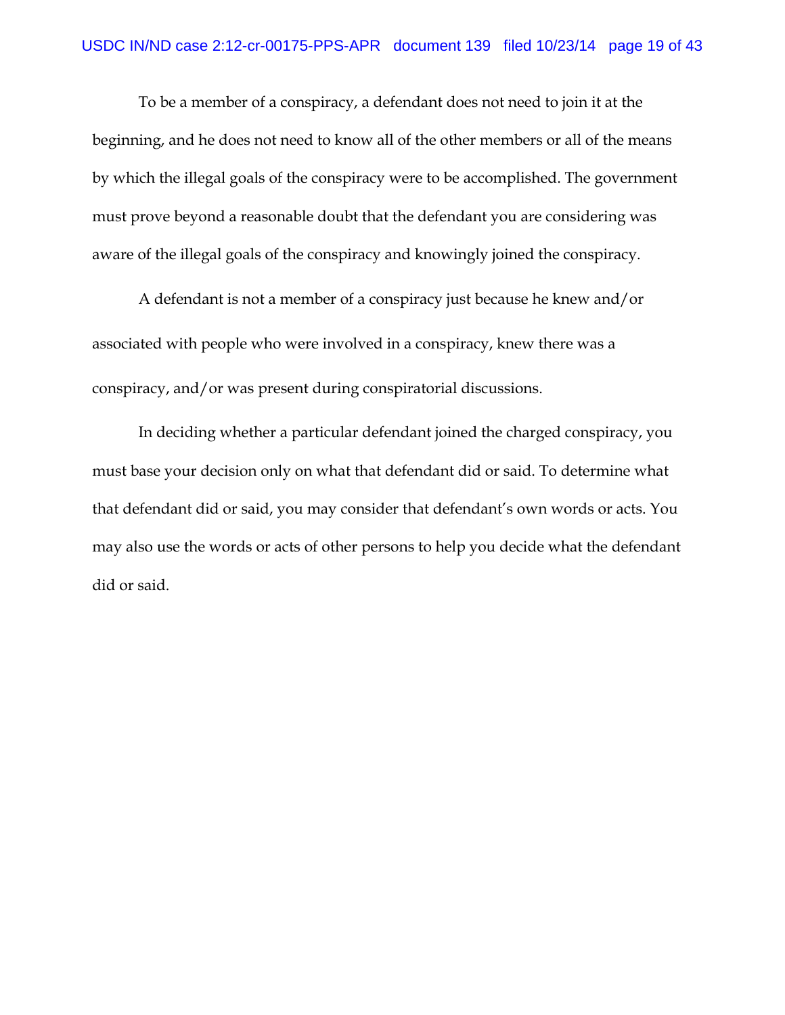To be a member of a conspiracy, a defendant does not need to join it at the beginning, and he does not need to know all of the other members or all of the means by which the illegal goals of the conspiracy were to be accomplished. The government must prove beyond a reasonable doubt that the defendant you are considering was aware of the illegal goals of the conspiracy and knowingly joined the conspiracy.

A defendant is not a member of a conspiracy just because he knew and/or associated with people who were involved in a conspiracy, knew there was a conspiracy, and/or was present during conspiratorial discussions.

In deciding whether a particular defendant joined the charged conspiracy, you must base your decision only on what that defendant did or said. To determine what that defendant did or said, you may consider that defendant's own words or acts. You may also use the words or acts of other persons to help you decide what the defendant did or said.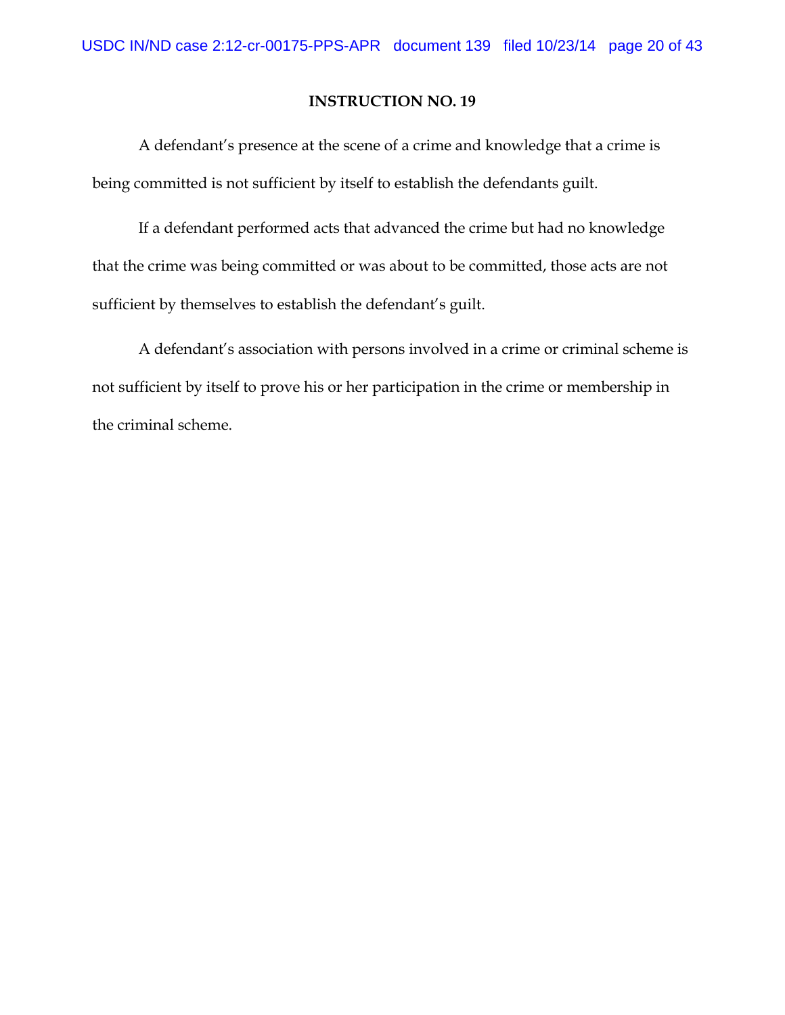A defendant's presence at the scene of a crime and knowledge that a crime is being committed is not sufficient by itself to establish the defendants guilt.

If a defendant performed acts that advanced the crime but had no knowledge that the crime was being committed or was about to be committed, those acts are not sufficient by themselves to establish the defendant's guilt.

A defendant's association with persons involved in a crime or criminal scheme is not sufficient by itself to prove his or her participation in the crime or membership in the criminal scheme.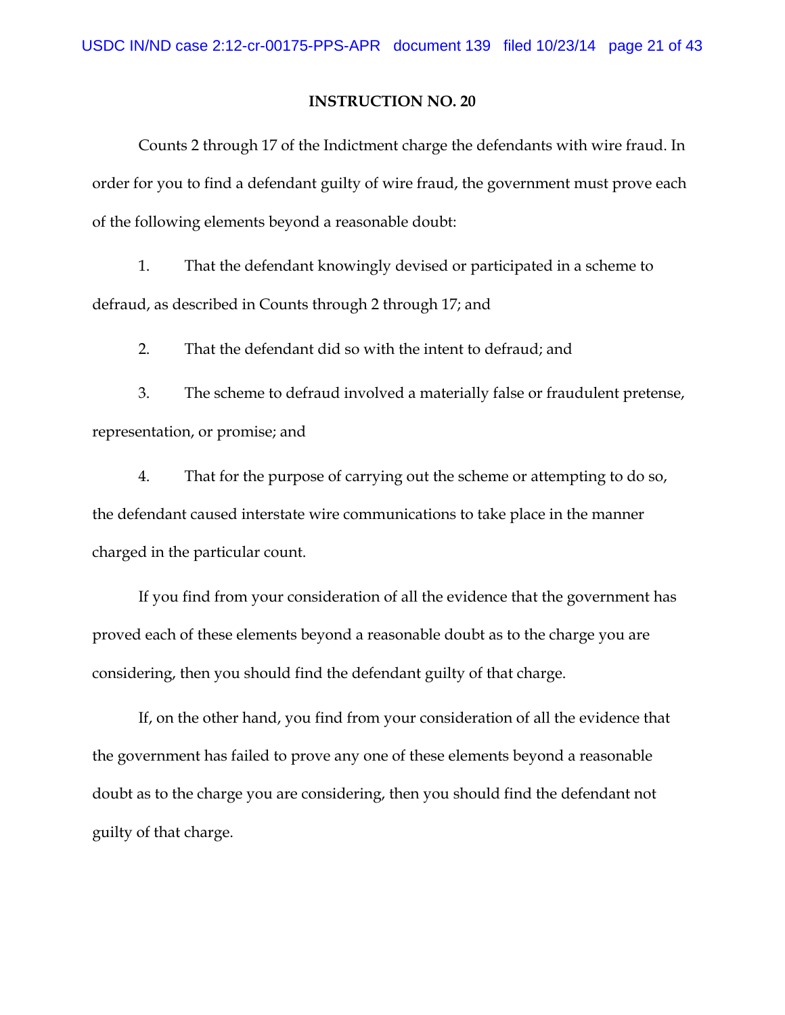Counts 2 through 17 of the Indictment charge the defendants with wire fraud. In order for you to find a defendant guilty of wire fraud, the government must prove each of the following elements beyond a reasonable doubt:

1. That the defendant knowingly devised or participated in a scheme to defraud, as described in Counts through 2 through 17; and

2. That the defendant did so with the intent to defraud; and

3. The scheme to defraud involved a materially false or fraudulent pretense, representation, or promise; and

4. That for the purpose of carrying out the scheme or attempting to do so, the defendant caused interstate wire communications to take place in the manner charged in the particular count.

If you find from your consideration of all the evidence that the government has proved each of these elements beyond a reasonable doubt as to the charge you are considering, then you should find the defendant guilty of that charge.

If, on the other hand, you find from your consideration of all the evidence that the government has failed to prove any one of these elements beyond a reasonable doubt as to the charge you are considering, then you should find the defendant not guilty of that charge.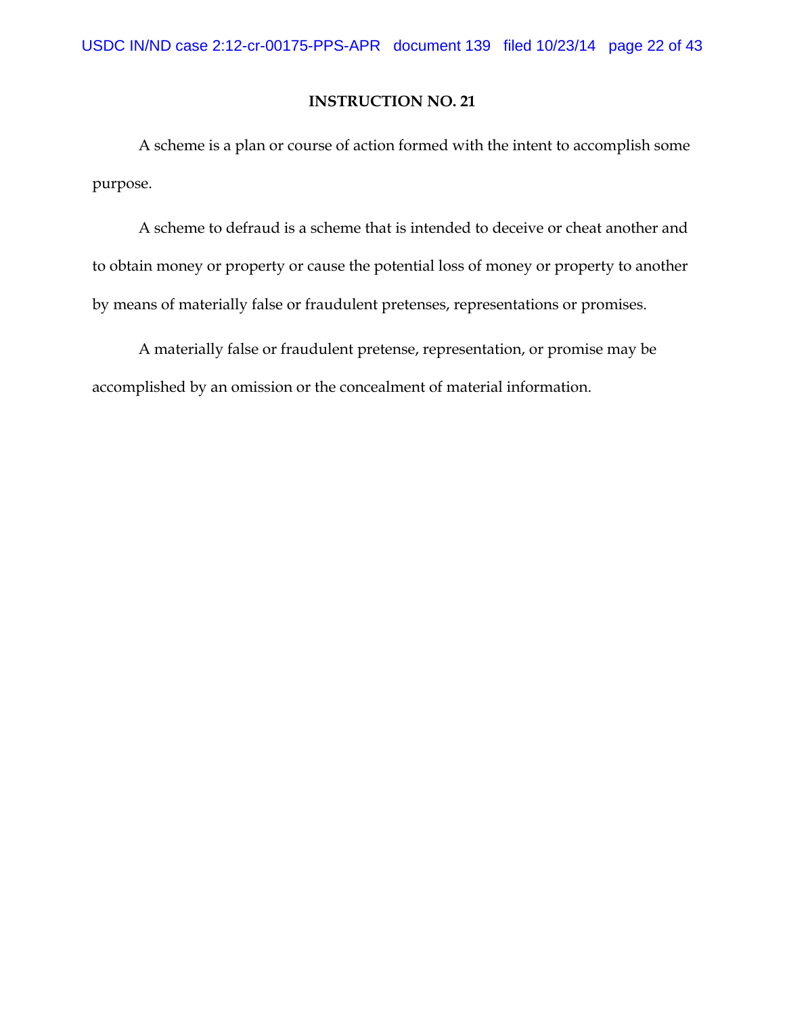A scheme is a plan or course of action formed with the intent to accomplish some purpose.

A scheme to defraud is a scheme that is intended to deceive or cheat another and to obtain money or property or cause the potential loss of money or property to another by means of materially false or fraudulent pretenses, representations or promises.

A materially false or fraudulent pretense, representation, or promise may be accomplished by an omission or the concealment of material information.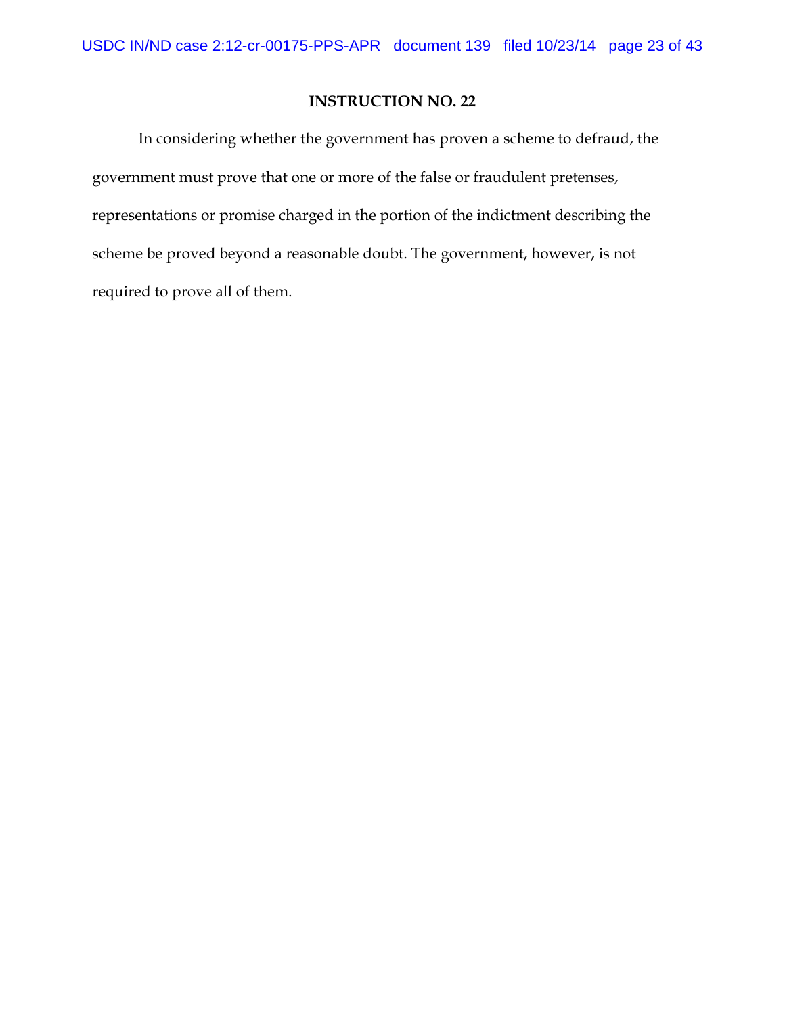In considering whether the government has proven a scheme to defraud, the government must prove that one or more of the false or fraudulent pretenses, representations or promise charged in the portion of the indictment describing the scheme be proved beyond a reasonable doubt. The government, however, is not required to prove all of them.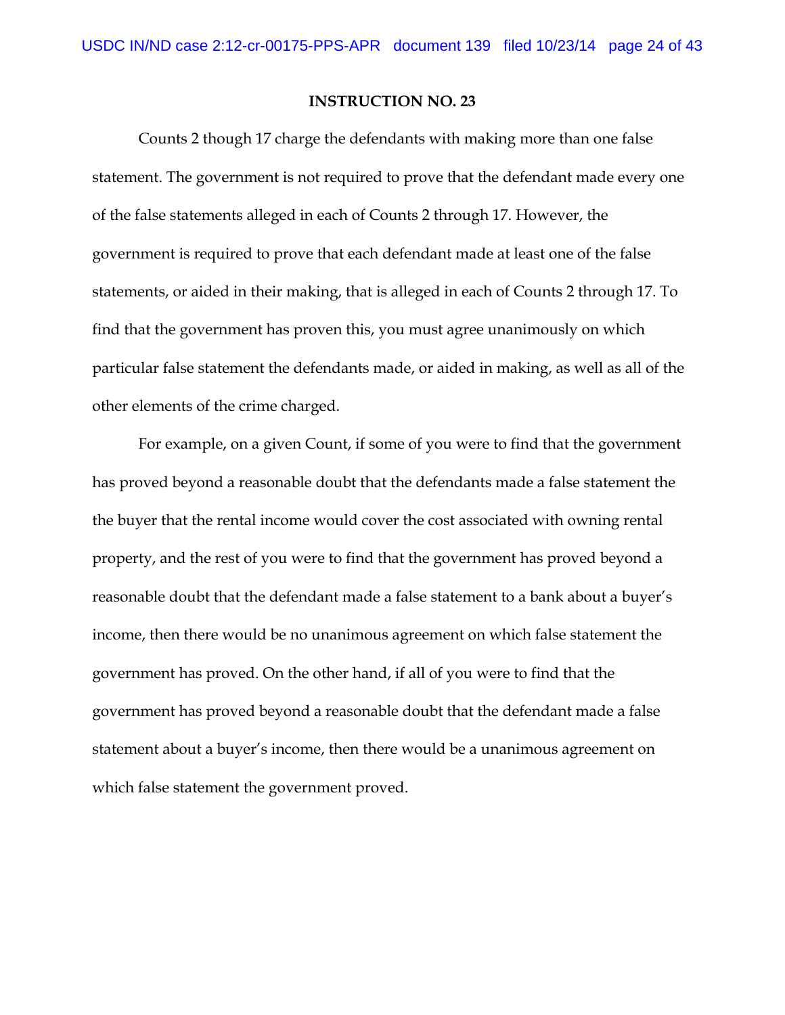Counts 2 though 17 charge the defendants with making more than one false statement. The government is not required to prove that the defendant made every one of the false statements alleged in each of Counts 2 through 17. However, the government is required to prove that each defendant made at least one of the false statements, or aided in their making, that is alleged in each of Counts 2 through 17. To find that the government has proven this, you must agree unanimously on which particular false statement the defendants made, or aided in making, as well as all of the other elements of the crime charged.

For example, on a given Count, if some of you were to find that the government has proved beyond a reasonable doubt that the defendants made a false statement the the buyer that the rental income would cover the cost associated with owning rental property, and the rest of you were to find that the government has proved beyond a reasonable doubt that the defendant made a false statement to a bank about a buyer's income, then there would be no unanimous agreement on which false statement the government has proved. On the other hand, if all of you were to find that the government has proved beyond a reasonable doubt that the defendant made a false statement about a buyer's income, then there would be a unanimous agreement on which false statement the government proved.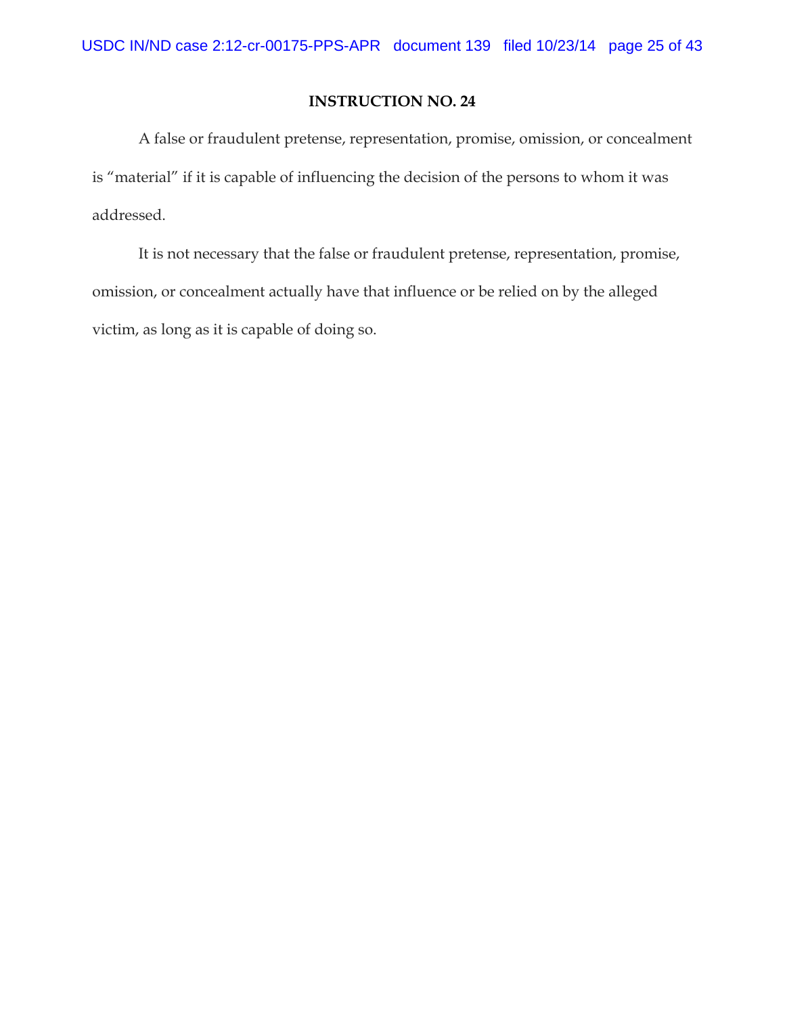A false or fraudulent pretense, representation, promise, omission, or concealment is "material" if it is capable of influencing the decision of the persons to whom it was addressed.

It is not necessary that the false or fraudulent pretense, representation, promise, omission, or concealment actually have that influence or be relied on by the alleged victim, as long as it is capable of doing so.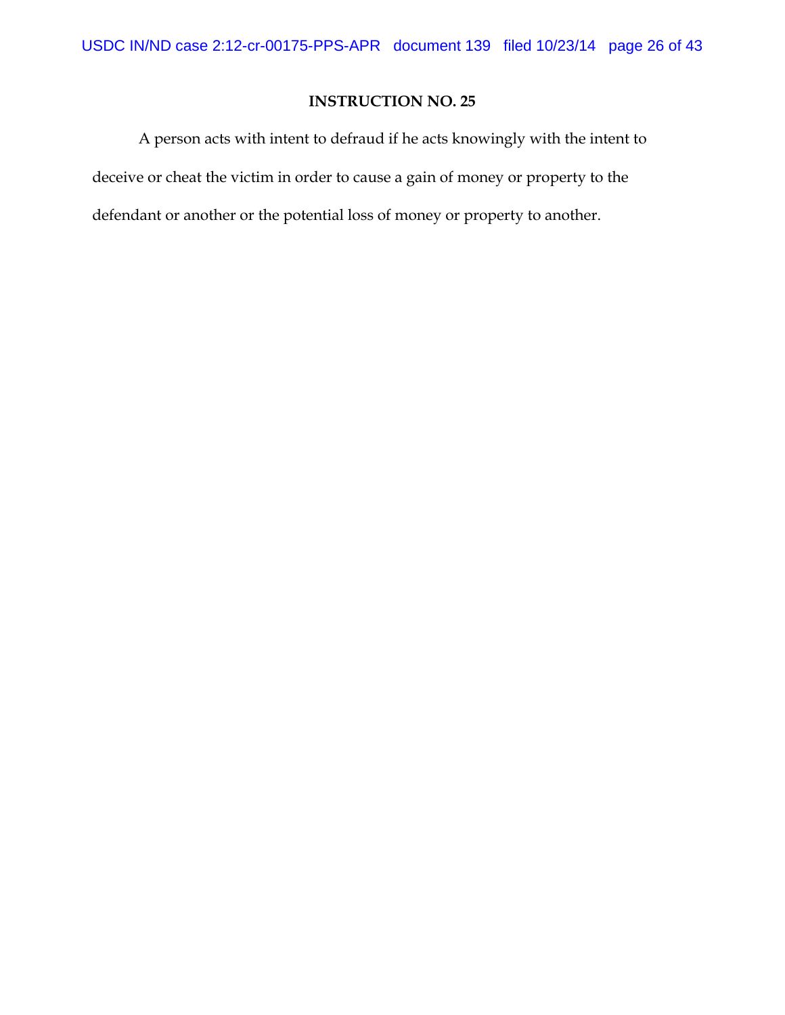A person acts with intent to defraud if he acts knowingly with the intent to deceive or cheat the victim in order to cause a gain of money or property to the defendant or another or the potential loss of money or property to another.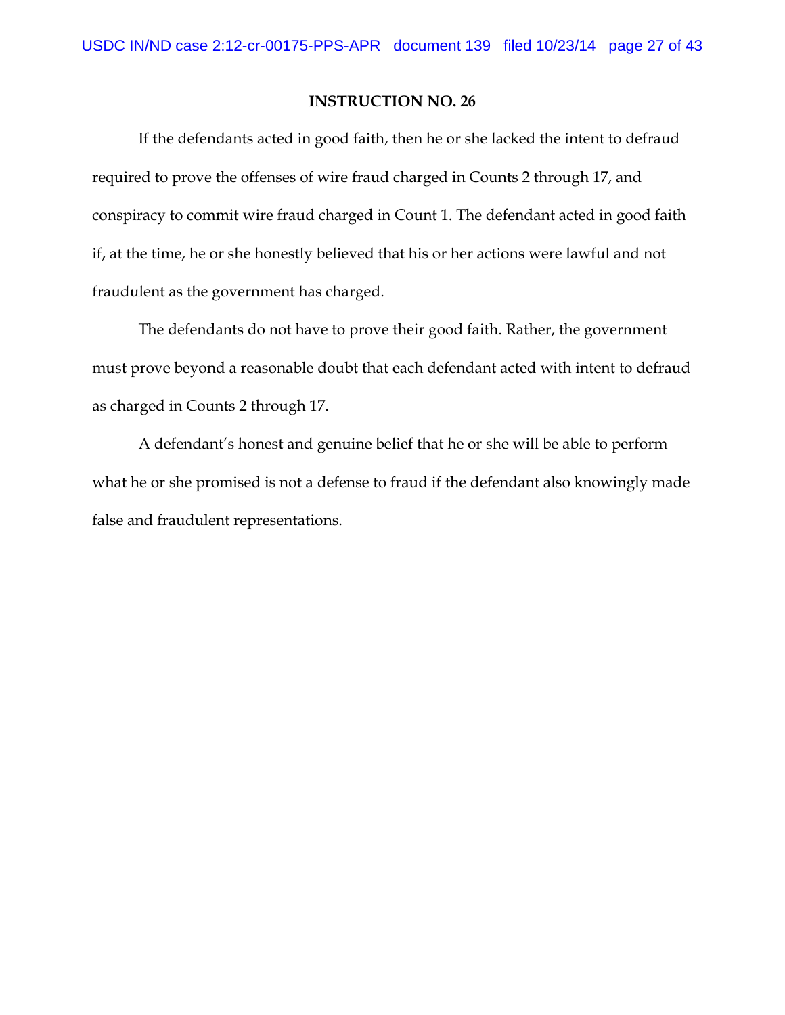If the defendants acted in good faith, then he or she lacked the intent to defraud required to prove the offenses of wire fraud charged in Counts 2 through 17, and conspiracy to commit wire fraud charged in Count 1. The defendant acted in good faith if, at the time, he or she honestly believed that his or her actions were lawful and not fraudulent as the government has charged.

The defendants do not have to prove their good faith. Rather, the government must prove beyond a reasonable doubt that each defendant acted with intent to defraud as charged in Counts 2 through 17.

A defendant's honest and genuine belief that he or she will be able to perform what he or she promised is not a defense to fraud if the defendant also knowingly made false and fraudulent representations.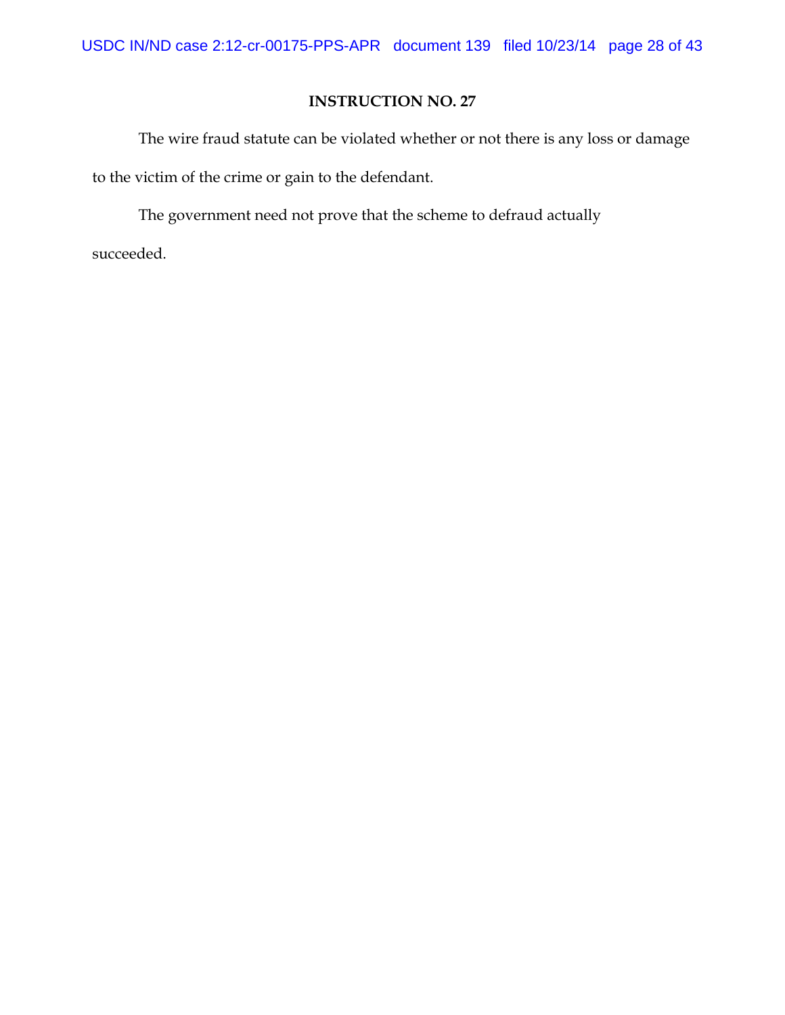The wire fraud statute can be violated whether or not there is any loss or damage to the victim of the crime or gain to the defendant.

The government need not prove that the scheme to defraud actually succeeded.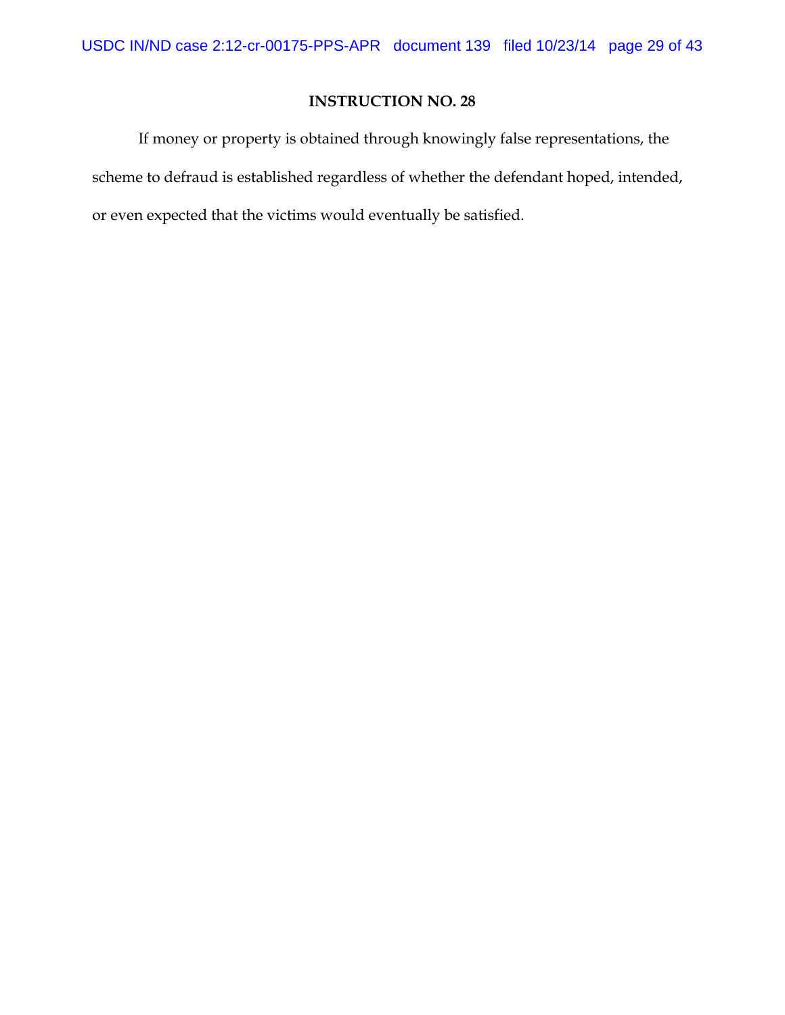If money or property is obtained through knowingly false representations, the scheme to defraud is established regardless of whether the defendant hoped, intended, or even expected that the victims would eventually be satisfied.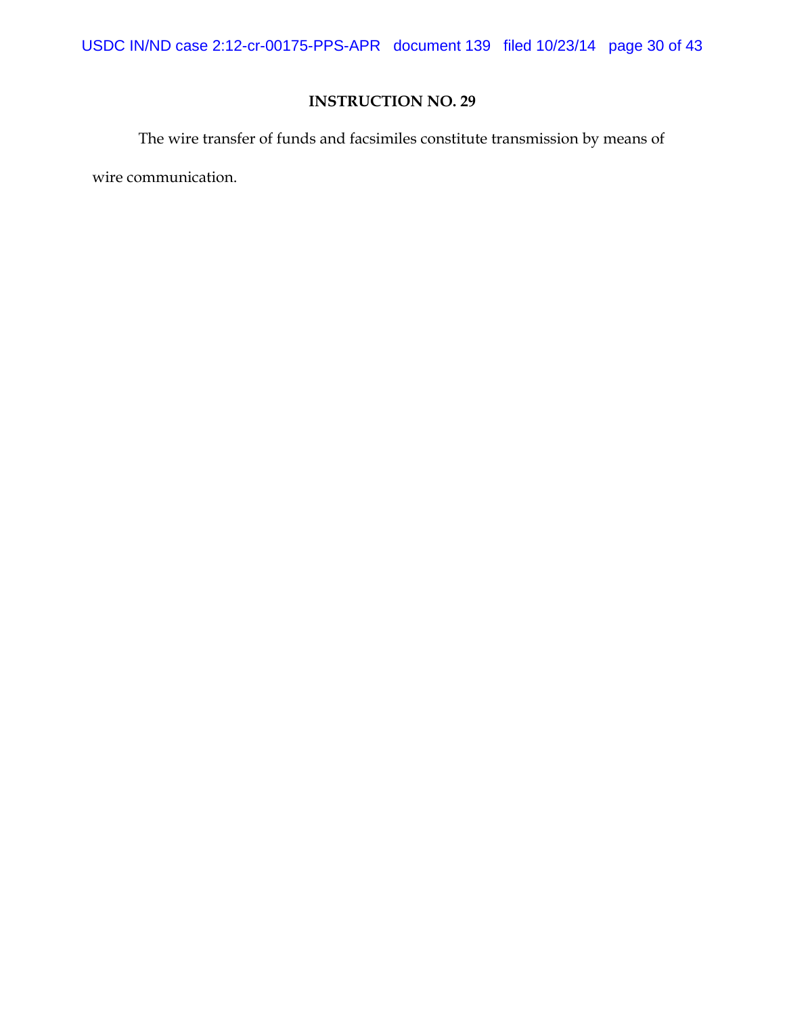USDC IN/ND case 2:12-cr-00175-PPS-APR document 139 filed 10/23/14 page 30 of 43

# **INSTRUCTION NO. 29**

The wire transfer of funds and facsimiles constitute transmission by means of

wire communication.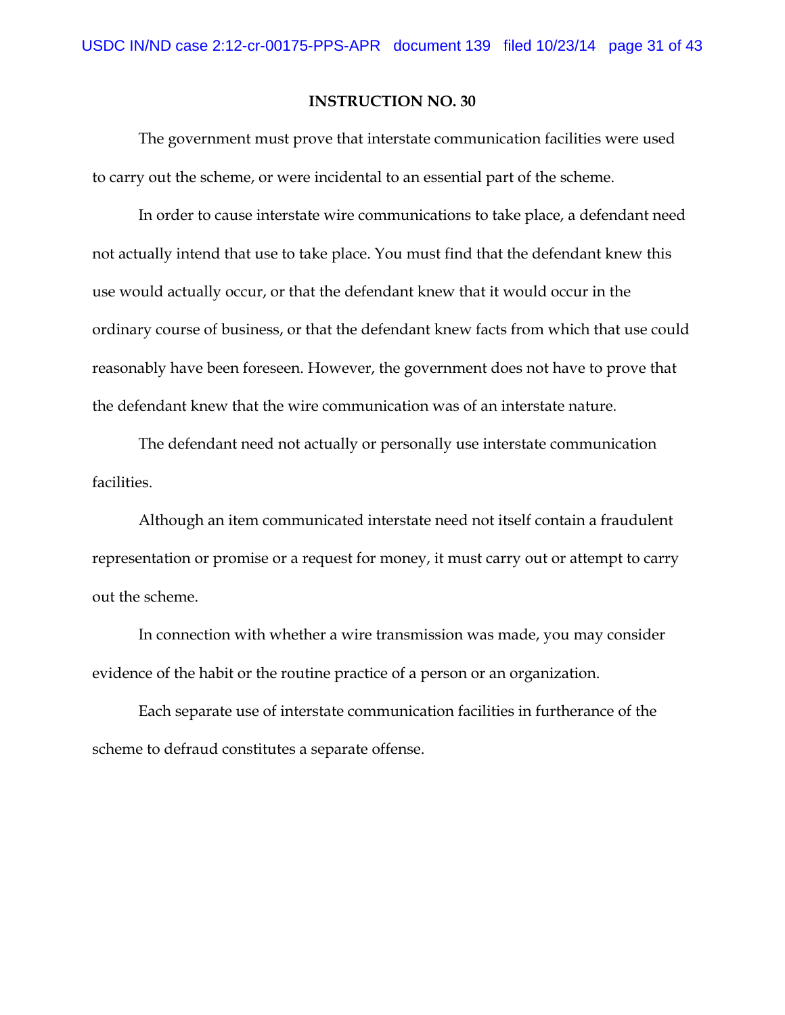The government must prove that interstate communication facilities were used to carry out the scheme, or were incidental to an essential part of the scheme.

In order to cause interstate wire communications to take place, a defendant need not actually intend that use to take place. You must find that the defendant knew this use would actually occur, or that the defendant knew that it would occur in the ordinary course of business, or that the defendant knew facts from which that use could reasonably have been foreseen. However, the government does not have to prove that the defendant knew that the wire communication was of an interstate nature.

The defendant need not actually or personally use interstate communication facilities.

Although an item communicated interstate need not itself contain a fraudulent representation or promise or a request for money, it must carry out or attempt to carry out the scheme.

In connection with whether a wire transmission was made, you may consider evidence of the habit or the routine practice of a person or an organization.

Each separate use of interstate communication facilities in furtherance of the scheme to defraud constitutes a separate offense.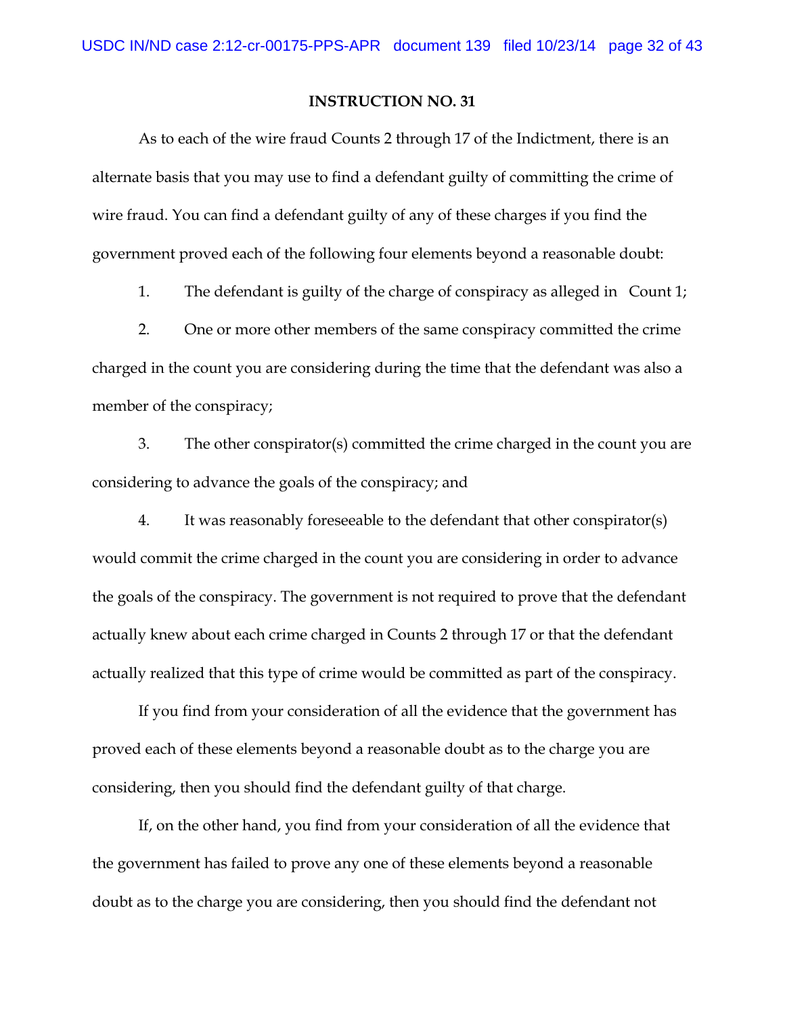As to each of the wire fraud Counts 2 through 17 of the Indictment, there is an alternate basis that you may use to find a defendant guilty of committing the crime of wire fraud. You can find a defendant guilty of any of these charges if you find the government proved each of the following four elements beyond a reasonable doubt:

1. The defendant is guilty of the charge of conspiracy as alleged in Count 1;

2. One or more other members of the same conspiracy committed the crime charged in the count you are considering during the time that the defendant was also a member of the conspiracy;

3. The other conspirator(s) committed the crime charged in the count you are considering to advance the goals of the conspiracy; and

4. It was reasonably foreseeable to the defendant that other conspirator(s) would commit the crime charged in the count you are considering in order to advance the goals of the conspiracy. The government is not required to prove that the defendant actually knew about each crime charged in Counts 2 through 17 or that the defendant actually realized that this type of crime would be committed as part of the conspiracy.

If you find from your consideration of all the evidence that the government has proved each of these elements beyond a reasonable doubt as to the charge you are considering, then you should find the defendant guilty of that charge.

If, on the other hand, you find from your consideration of all the evidence that the government has failed to prove any one of these elements beyond a reasonable doubt as to the charge you are considering, then you should find the defendant not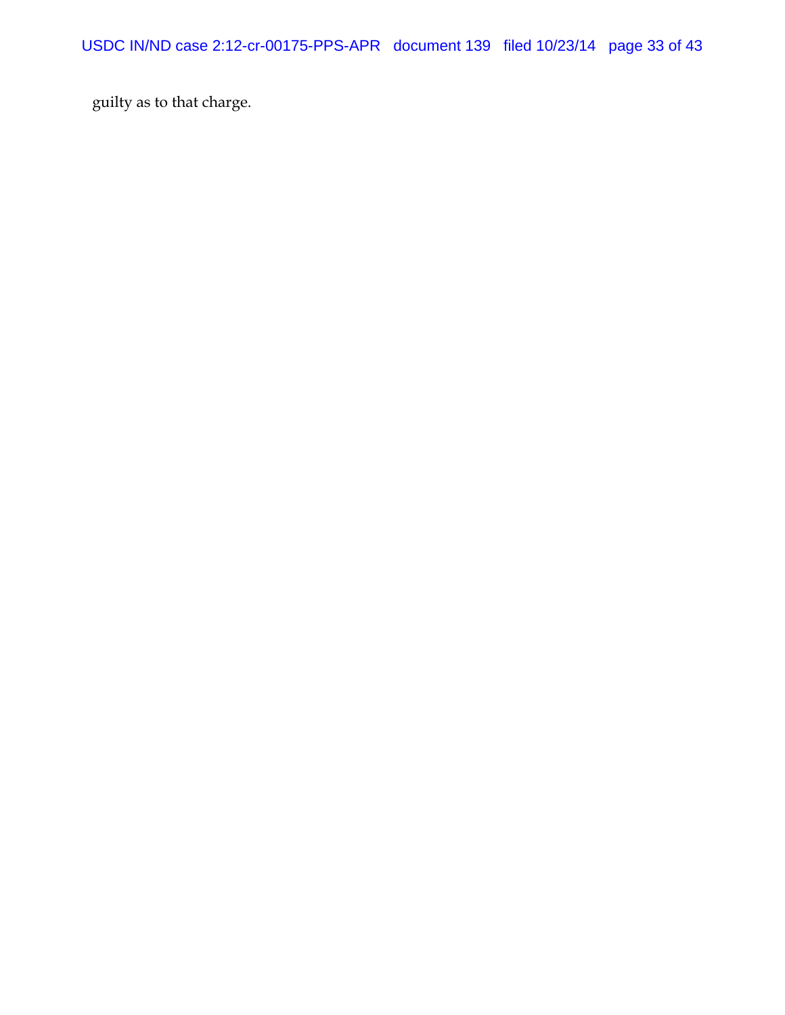guilty as to that charge.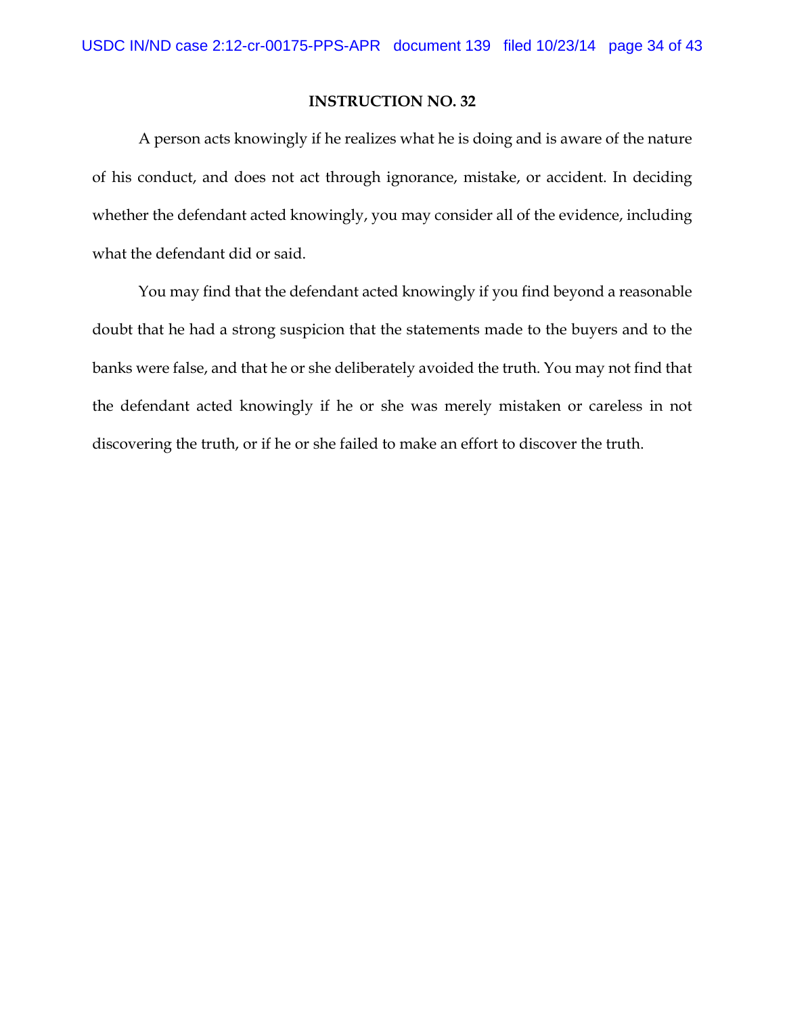A person acts knowingly if he realizes what he is doing and is aware of the nature of his conduct, and does not act through ignorance, mistake, or accident. In deciding whether the defendant acted knowingly, you may consider all of the evidence, including what the defendant did or said.

You may find that the defendant acted knowingly if you find beyond a reasonable doubt that he had a strong suspicion that the statements made to the buyers and to the banks were false, and that he or she deliberately avoided the truth. You may not find that the defendant acted knowingly if he or she was merely mistaken or careless in not discovering the truth, or if he or she failed to make an effort to discover the truth.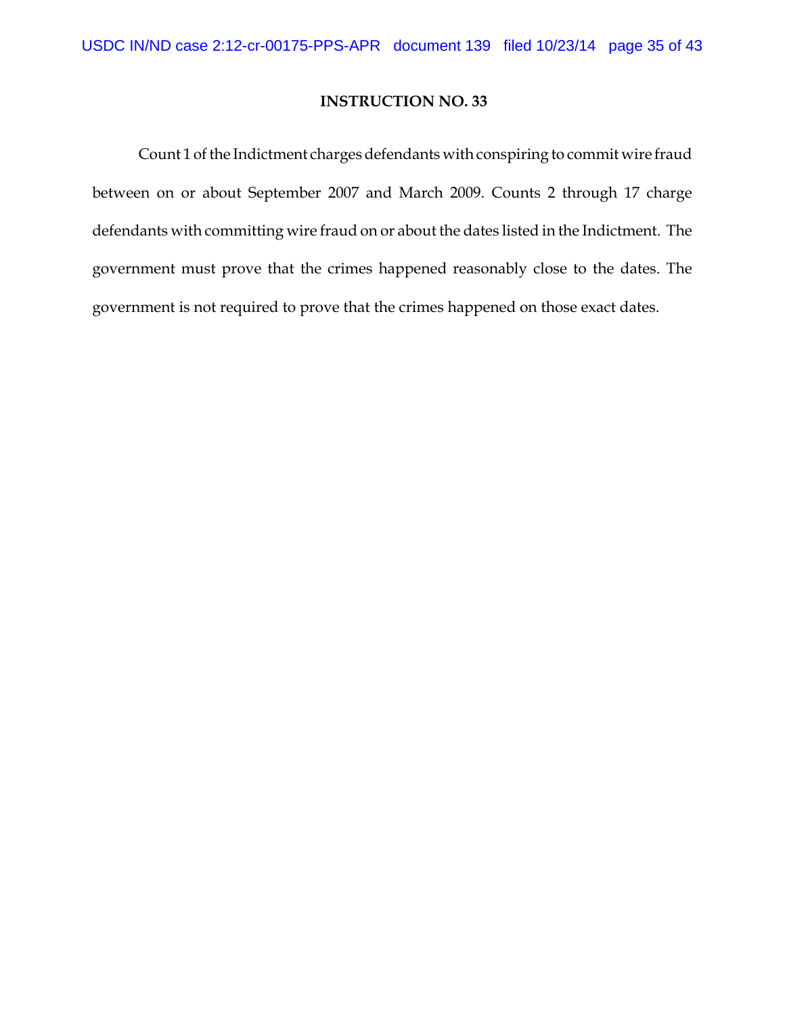Count 1 of the Indictment charges defendants with conspiring to commit wire fraud between on or about September 2007 and March 2009. Counts 2 through 17 charge defendants with committing wire fraud on or about the dates listed in the Indictment. The government must prove that the crimes happened reasonably close to the dates. The government is not required to prove that the crimes happened on those exact dates.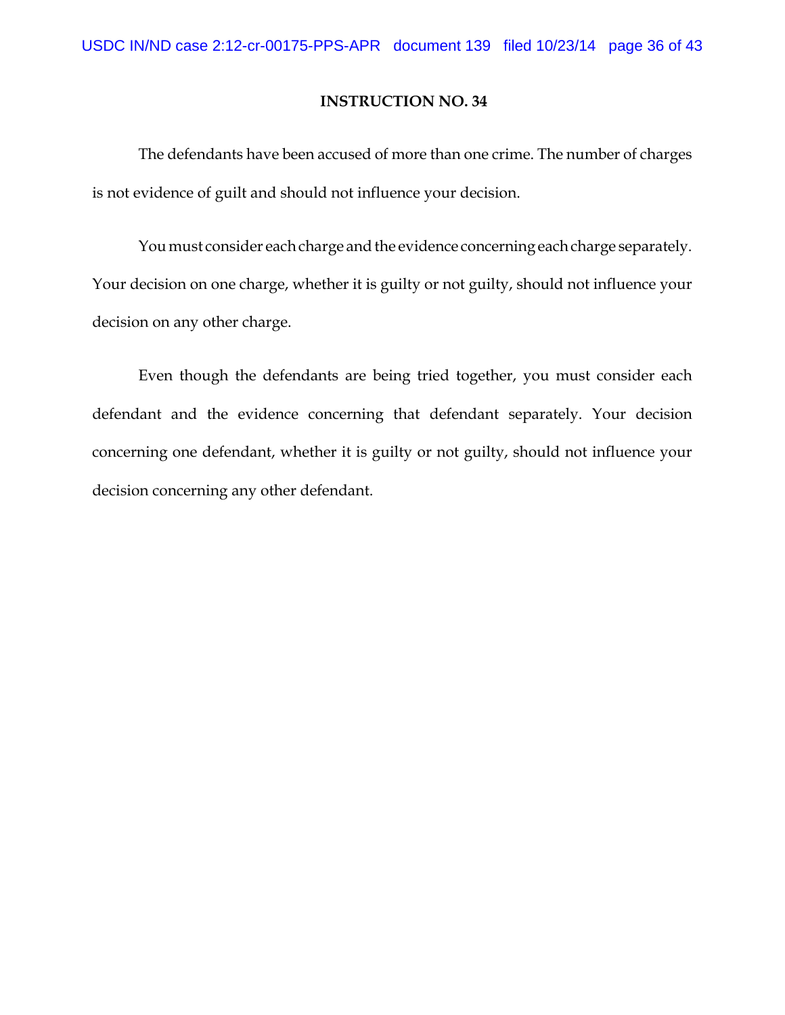The defendants have been accused of more than one crime. The number of charges is not evidence of guilt and should not influence your decision.

You must consider each charge and the evidence concerning each charge separately. Your decision on one charge, whether it is guilty or not guilty, should not influence your decision on any other charge.

Even though the defendants are being tried together, you must consider each defendant and the evidence concerning that defendant separately. Your decision concerning one defendant, whether it is guilty or not guilty, should not influence your decision concerning any other defendant.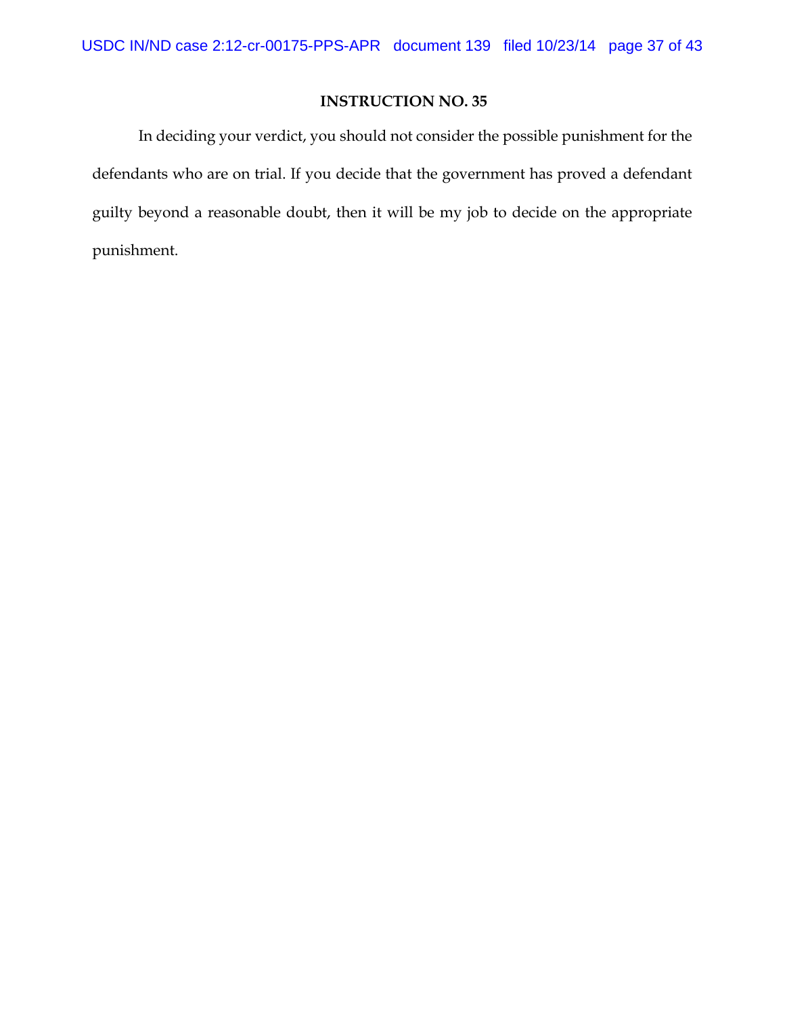In deciding your verdict, you should not consider the possible punishment for the defendants who are on trial. If you decide that the government has proved a defendant guilty beyond a reasonable doubt, then it will be my job to decide on the appropriate punishment.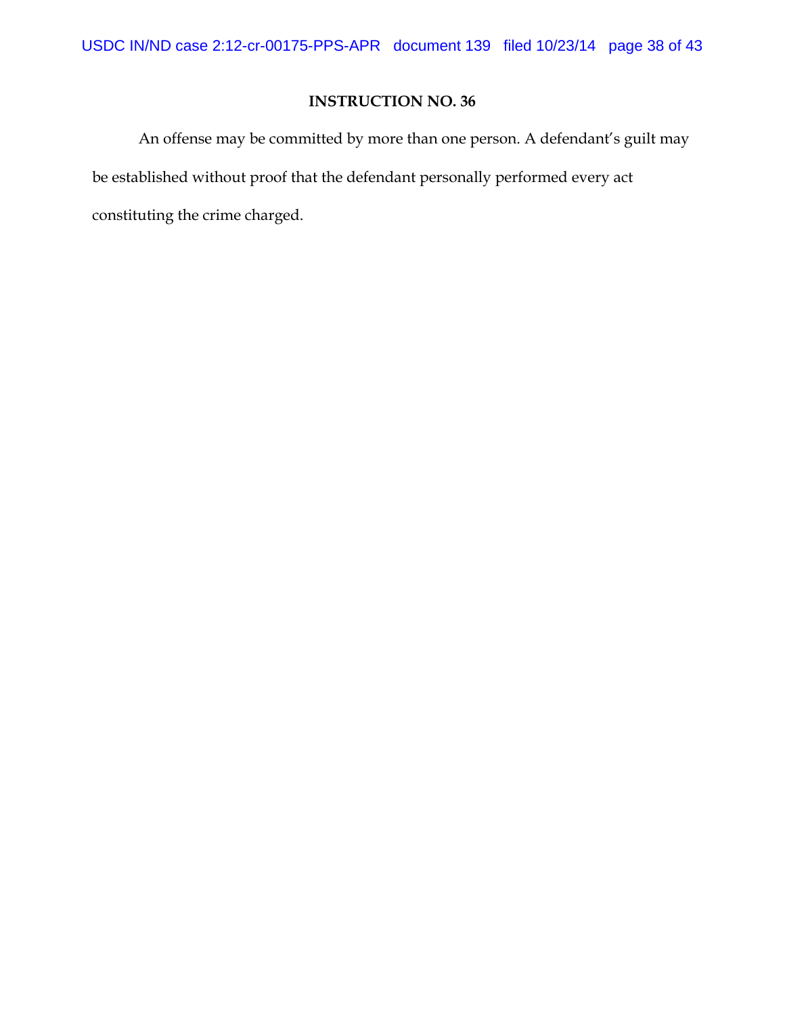An offense may be committed by more than one person. A defendant's guilt may be established without proof that the defendant personally performed every act constituting the crime charged.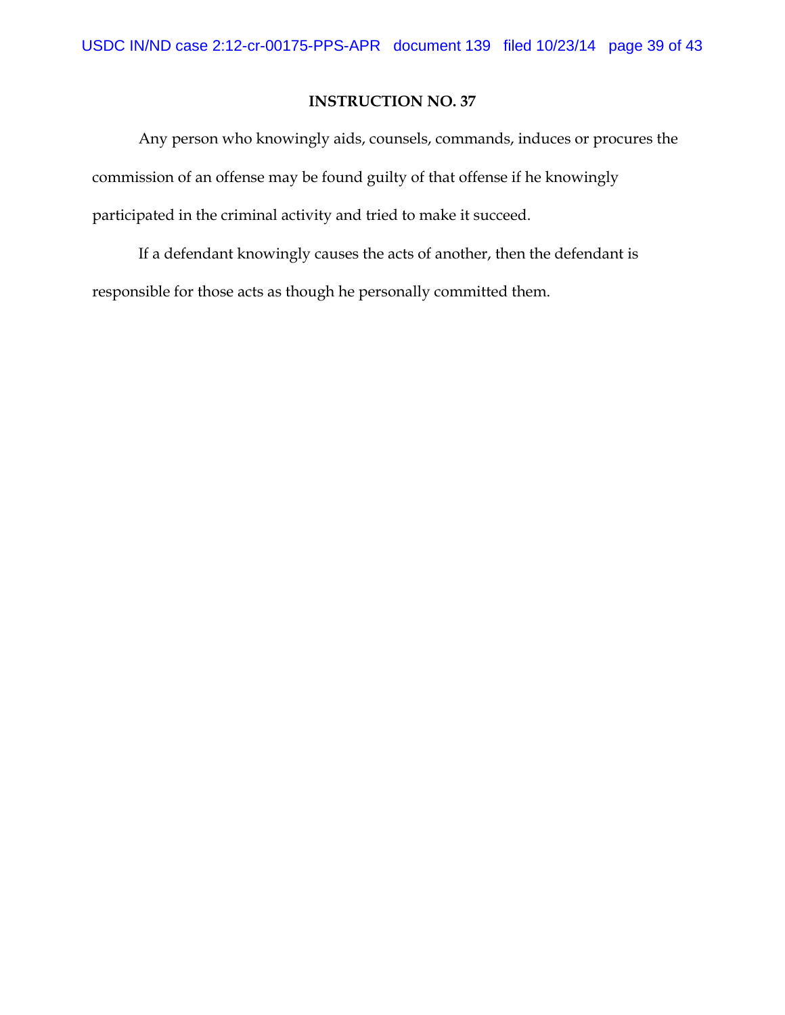Any person who knowingly aids, counsels, commands, induces or procures the commission of an offense may be found guilty of that offense if he knowingly participated in the criminal activity and tried to make it succeed.

If a defendant knowingly causes the acts of another, then the defendant is responsible for those acts as though he personally committed them.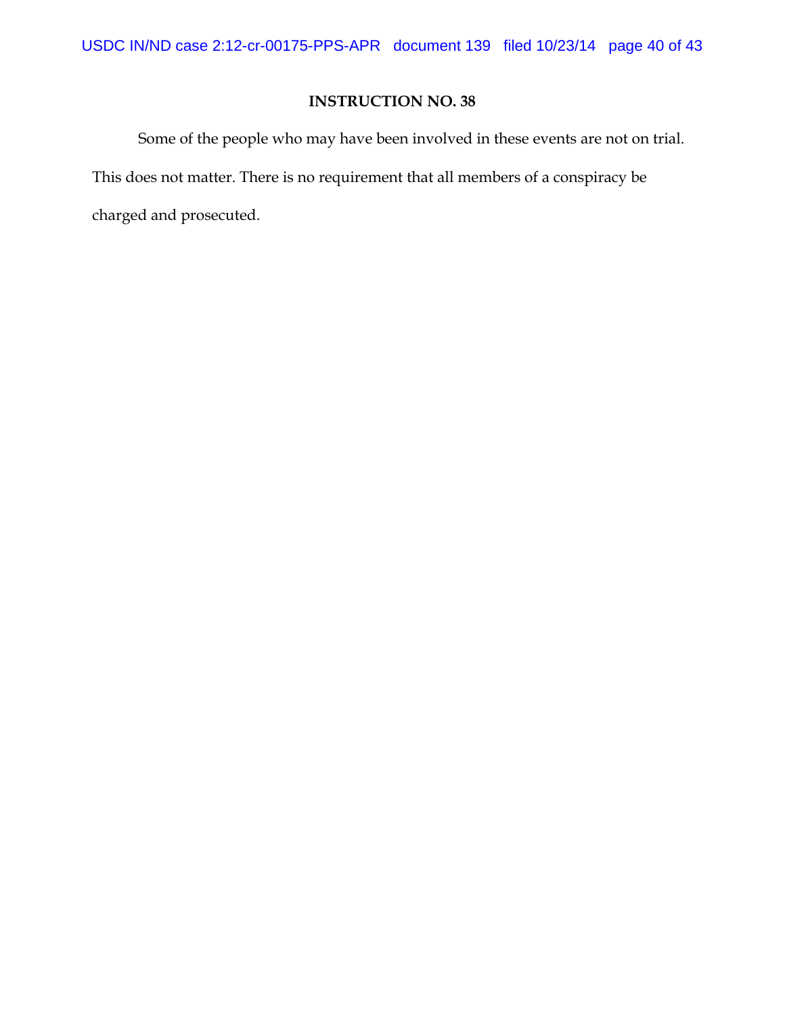Some of the people who may have been involved in these events are not on trial. This does not matter. There is no requirement that all members of a conspiracy be charged and prosecuted.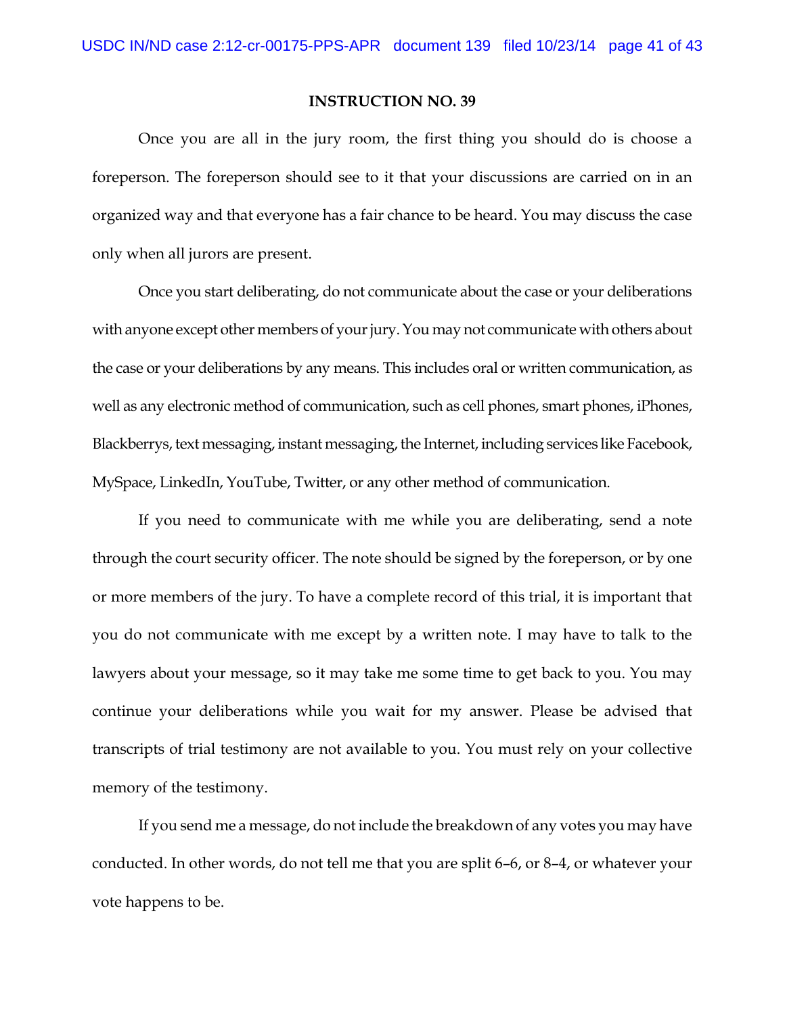Once you are all in the jury room, the first thing you should do is choose a foreperson. The foreperson should see to it that your discussions are carried on in an organized way and that everyone has a fair chance to be heard. You may discuss the case only when all jurors are present.

Once you start deliberating, do not communicate about the case or your deliberations with anyone except other members of your jury. You may not communicate with others about the case or your deliberations by any means. This includes oral or written communication, as well as any electronic method of communication, such as cell phones, smart phones, iPhones, Blackberrys, text messaging, instant messaging, the Internet, including services like Facebook, MySpace, LinkedIn, YouTube, Twitter, or any other method of communication.

If you need to communicate with me while you are deliberating, send a note through the court security officer. The note should be signed by the foreperson, or by one or more members of the jury. To have a complete record of this trial, it is important that you do not communicate with me except by a written note. I may have to talk to the lawyers about your message, so it may take me some time to get back to you. You may continue your deliberations while you wait for my answer. Please be advised that transcripts of trial testimony are not available to you. You must rely on your collective memory of the testimony.

If you send me a message, do not include the breakdown of any votes you may have conducted. In other words, do not tell me that you are split 6–6, or 8–4, or whatever your vote happens to be.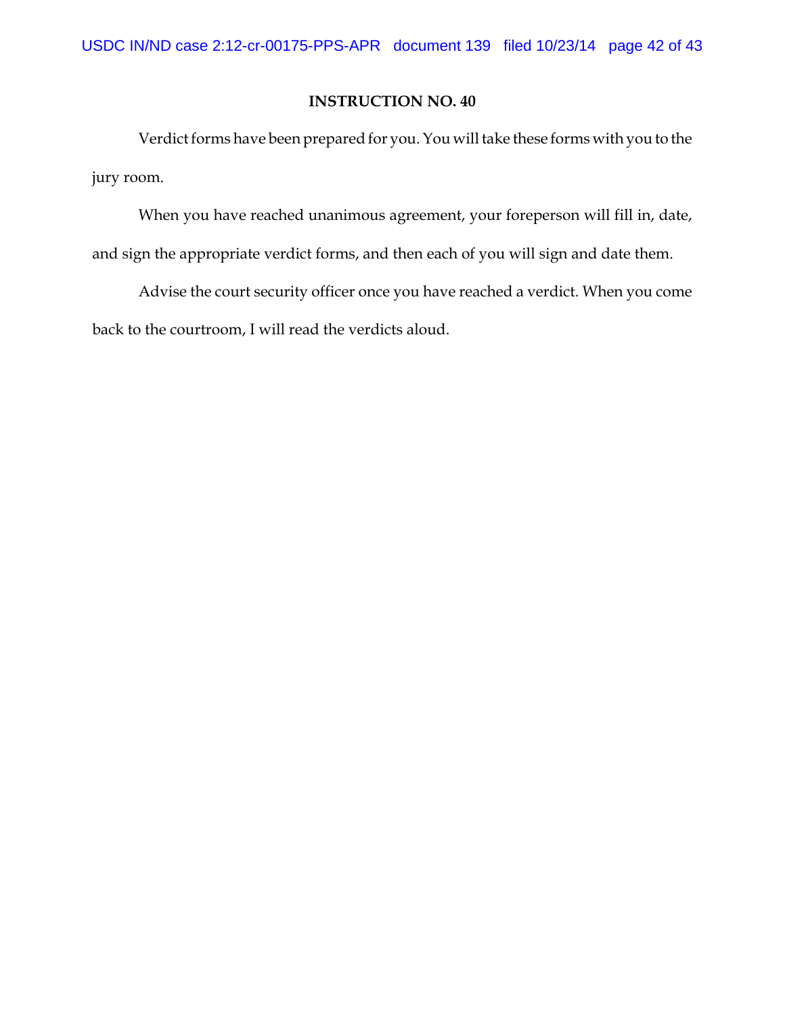Verdict forms have been prepared for you. You will take these forms with you to the jury room.

When you have reached unanimous agreement, your foreperson will fill in, date, and sign the appropriate verdict forms, and then each of you will sign and date them.

Advise the court security officer once you have reached a verdict. When you come back to the courtroom, I will read the verdicts aloud.